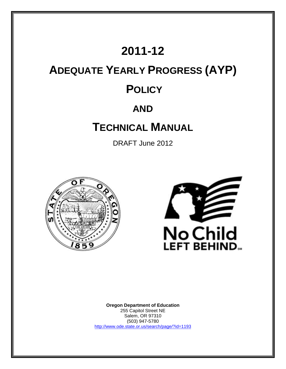# **2011-12**

# **ADEQUATE YEARLY PROGRESS (AYP) POLICY**

# **AND**

# **TECHNICAL MANUAL**

DRAFT June 2012





**Oregon Department of Education** 255 Capitol Street NE Salem, OR 97310 (503) 947-5780 <http://www.ode.state.or.us/search/page/?id=1193>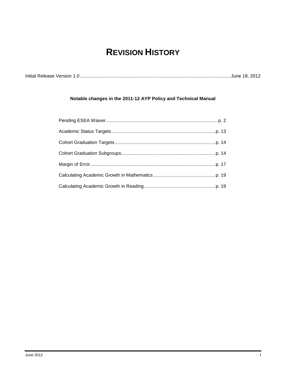# **REVISION HISTORY**

| Initial Release Version 1.0. |  |  |
|------------------------------|--|--|
|------------------------------|--|--|

## **Notable changes in the 2011-12 AYP Policy and Technical Manual**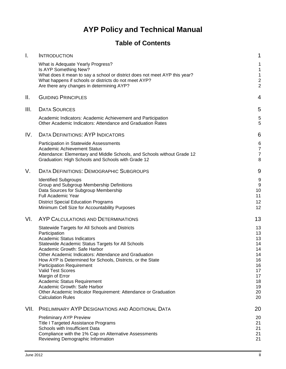# **AYP Policy and Technical Manual**

# **Table of Contents**

| Ι.   | <b>INTRODUCTION</b>                                                                                                                                                                                                                                                                                                                                                                                                                                                                                                                                              | 1                                                                                |
|------|------------------------------------------------------------------------------------------------------------------------------------------------------------------------------------------------------------------------------------------------------------------------------------------------------------------------------------------------------------------------------------------------------------------------------------------------------------------------------------------------------------------------------------------------------------------|----------------------------------------------------------------------------------|
|      | What is Adequate Yearly Progress?<br>Is AYP Something New?<br>What does it mean to say a school or district does not meet AYP this year?<br>What happens if schools or districts do not meet AYP?<br>Are there any changes in determining AYP?                                                                                                                                                                                                                                                                                                                   | 1<br>$\overline{\mathbf{c}}$<br>$\overline{c}$                                   |
| Ш.   | <b>GUIDING PRINCIPLES</b>                                                                                                                                                                                                                                                                                                                                                                                                                                                                                                                                        | 4                                                                                |
| III. | <b>DATA SOURCES</b>                                                                                                                                                                                                                                                                                                                                                                                                                                                                                                                                              | 5                                                                                |
|      | Academic Indicators: Academic Achievement and Participation<br>Other Academic Indicators: Attendance and Graduation Rates                                                                                                                                                                                                                                                                                                                                                                                                                                        | 5<br>5                                                                           |
| IV.  | <b>DATA DEFINITIONS: AYP INDICATORS</b>                                                                                                                                                                                                                                                                                                                                                                                                                                                                                                                          | 6                                                                                |
|      | Participation in Statewide Assessments<br><b>Academic Achievement Status</b><br>Attendance: Elementary and Middle Schools, and Schools without Grade 12<br>Graduation: High Schools and Schools with Grade 12                                                                                                                                                                                                                                                                                                                                                    | 6<br>7<br>7<br>8                                                                 |
| V.   | <b>DATA DEFINITIONS: DEMOGRAPHIC SUBGROUPS</b>                                                                                                                                                                                                                                                                                                                                                                                                                                                                                                                   | 9                                                                                |
|      | <b>Identified Subgroups</b><br>Group and Subgroup Membership Definitions<br>Data Sources for Subgroup Membership<br><b>Full Academic Year</b><br><b>District Special Education Programs</b><br>Minimum Cell Size for Accountability Purposes                                                                                                                                                                                                                                                                                                                     | 9<br>9<br>10<br>11<br>12<br>12                                                   |
| VI.  | AYP CALCULATIONS AND DETERMINATIONS                                                                                                                                                                                                                                                                                                                                                                                                                                                                                                                              | 13                                                                               |
|      | Statewide Targets for All Schools and Districts<br>Participation<br><b>Academic Status Indicators</b><br>Statewide Academic Status Targets for All Schools<br>Academic Growth: Safe Harbor<br>Other Academic Indicators: Attendance and Graduation<br>How AYP is Determined for Schools, Districts, or the State<br><b>Participation Requirement</b><br><b>Valid Test Scores</b><br>Margin of Error<br>Academic Status Requirement<br>Academic Growth: Safe Harbor<br>Other Academic Indicator Requirement: Attendance or Graduation<br><b>Calculation Rules</b> | 13<br>13<br>13<br>14<br>14<br>14<br>16<br>16<br>17<br>17<br>18<br>19<br>20<br>20 |
| VII. | PRELIMINARY AYP DESIGNATIONS AND ADDITIONAL DATA                                                                                                                                                                                                                                                                                                                                                                                                                                                                                                                 | 20                                                                               |
|      | <b>Preliminary AYP Preview</b><br><b>Title I Targeted Assistance Programs</b><br>Schools with Insufficient Data<br>Compliance with the 1% Cap on Alternative Assessments<br>Reviewing Demographic Information                                                                                                                                                                                                                                                                                                                                                    | 20<br>21<br>21<br>21<br>21                                                       |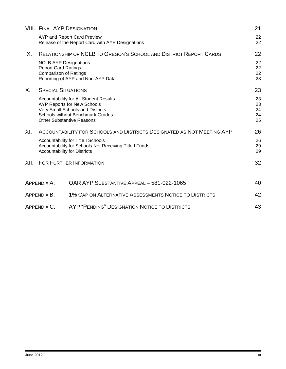|      |                                                                                            | <b>VIII. FINAL AYP DESIGNATION</b>                                                                                                                                                              | 21                         |
|------|--------------------------------------------------------------------------------------------|-------------------------------------------------------------------------------------------------------------------------------------------------------------------------------------------------|----------------------------|
|      |                                                                                            | AYP and Report Card Preview<br>Release of the Report Card with AYP Designations                                                                                                                 | 22<br>22                   |
| IX.  |                                                                                            | <b>RELATIONSHIP OF NCLB TO OREGON'S SCHOOL AND DISTRICT REPORT CARDS</b>                                                                                                                        | 22                         |
|      | <b>NCLB AYP Designations</b><br><b>Report Card Ratings</b><br><b>Comparison of Ratings</b> | Reporting of AYP and Non-AYP Data                                                                                                                                                               | 22<br>22<br>22<br>23       |
| X.   | <b>SPECIAL SITUATIONS</b>                                                                  |                                                                                                                                                                                                 | 23                         |
|      |                                                                                            | Accountability for All Student Results<br><b>AYP Reports for New Schools</b><br>Very Small Schools and Districts<br><b>Schools without Benchmark Grades</b><br><b>Other Substantive Reasons</b> | 23<br>23<br>24<br>24<br>25 |
| XI.  |                                                                                            | ACCOUNTABILITY FOR SCHOOLS AND DISTRICTS DESIGNATED AS NOT MEETING AYP                                                                                                                          | 26                         |
|      | <b>Accountability for Districts</b>                                                        | Accountability for Title I Schools<br>Accountability for Schools Not Receiving Title I Funds                                                                                                    | 26<br>29<br>29             |
| XII. |                                                                                            | <b>FOR FURTHER INFORMATION</b>                                                                                                                                                                  | 32                         |
|      | APPENDIX A:                                                                                | OAR AYP SUBSTANTIVE APPEAL - 581-022-1065                                                                                                                                                       | 40                         |
|      | APPENDIX B:                                                                                | 1% CAP ON ALTERNATIVE ASSESSMENTS NOTICE TO DISTRICTS                                                                                                                                           | 42                         |
|      | <b>APPENDIX C:</b>                                                                         | AYP "PENDING" DESIGNATION NOTICE TO DISTRICTS                                                                                                                                                   | 43                         |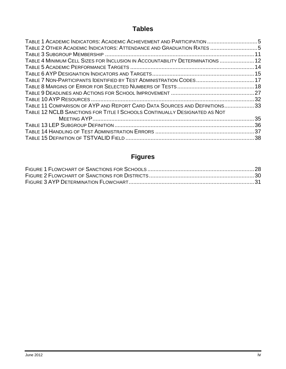# **Tables**

| TABLE 1 ACADEMIC INDICATORS: ACADEMIC ACHIEVEMENT AND PARTICIPATION 5<br>TABLE 2 OTHER ACADEMIC INDICATORS: ATTENDANCE AND GRADUATION RATES 5 |  |
|-----------------------------------------------------------------------------------------------------------------------------------------------|--|
|                                                                                                                                               |  |
| TABLE 4 MINIMUM CELL SIZES FOR INCLUSION IN ACCOUNTABILITY DETERMINATIONS  12                                                                 |  |
|                                                                                                                                               |  |
|                                                                                                                                               |  |
| TABLE 7 NON-PARTICIPANTS IDENTIFIED BY TEST ADMINISTRATION CODES 17                                                                           |  |
|                                                                                                                                               |  |
|                                                                                                                                               |  |
|                                                                                                                                               |  |
| TABLE 11 COMPARISON OF AYP AND REPORT CARD DATA SOURCES AND DEFINITIONS33                                                                     |  |
| TABLE 12 NCLB SANCTIONS FOR TITLE I SCHOOLS CONTINUALLY DESIGNATED AS NOT                                                                     |  |
|                                                                                                                                               |  |
|                                                                                                                                               |  |
|                                                                                                                                               |  |
|                                                                                                                                               |  |
|                                                                                                                                               |  |

# **Figures**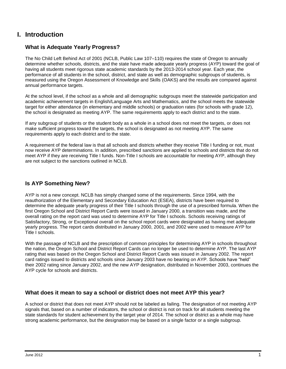## <span id="page-5-0"></span>**I. Introduction**

## <span id="page-5-1"></span>**What is Adequate Yearly Progress?**

The No Child Left Behind Act of 2001 (NCLB, Public Law 107–110) requires the state of Oregon to annually determine whether schools, districts, and the state have made adequate yearly progress (AYP) toward the goal of having all students meet rigorous state academic standards by the 2013-2014 school year. Each year, the performance of all students in the school, district, and state as well as demographic subgroups of students, is measured using the Oregon Assessment of Knowledge and Skills (OAKS) and the results are compared against annual performance targets.

At the school level, if the school as a whole and all demographic subgroups meet the statewide participation and academic achievement targets in English/Language Arts and Mathematics, and the school meets the statewide target for either attendance (in elementary and middle schools) or graduation rates (for schools with grade 12), the school is designated as meeting AYP. The same requirements apply to each district and to the state.

If any subgroup of students or the student body as a whole in a school does not meet the targets, or does not make sufficient progress toward the targets, the school is designated as not meeting AYP. The same requirements apply to each district and to the state.

A requirement of the federal law is that all schools and districts whether they receive Title I funding or not, must now receive AYP determinations. In addition, prescribed sanctions are applied to schools and districts that do not meet AYP if they are receiving Title I funds. Non-Title I schools are accountable for meeting AYP, although they are not subject to the sanctions outlined in NCLB.

#### <span id="page-5-2"></span>**Is AYP Something New?**

AYP is not a new concept. NCLB has simply changed some of the requirements. Since 1994, with the reauthorization of the Elementary and Secondary Education Act (ESEA), districts have been required to determine the adequate yearly progress of their Title I schools through the use of a prescribed formula. When the first Oregon School and District Report Cards were issued in January 2000, a transition was made, and the overall rating on the report card was used to determine AYP for Title I schools. Schools receiving ratings of Satisfactory, Strong, or Exceptional overall on the school report cards were designated as having met adequate yearly progress. The report cards distributed in January 2000, 2001, and 2002 were used to measure AYP for Title I schools.

With the passage of NCLB and the prescription of common principles for determining AYP in schools throughout the nation, the Oregon School and District Report Cards can no longer be used to determine AYP. The last AYP rating that was based on the Oregon School and District Report Cards was issued in January 2002. The report card ratings issued to districts and schools since January 2003 have no bearing on AYP. Schools have "held" their 2002 rating since January 2002, and the new AYP designation, distributed in November 2003, continues the AYP cycle for schools and districts.

## <span id="page-5-3"></span>**What does it mean to say a school or district does not meet AYP this year?**

A school or district that does not meet AYP should not be labeled as failing. The designation of not meeting AYP signals that, based on a number of indicators, the school or district is not on track for all students meeting the state standards for student achievement by the target year of 2014. The school or district as a whole may have strong academic performance, but the designation may be based on a single factor or a single subgroup.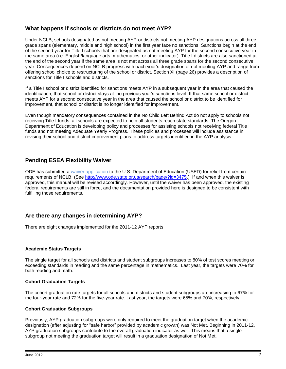## <span id="page-6-0"></span>**What happens if schools or districts do not meet AYP?**

Under NCLB, schools designated as not meeting AYP or districts not meeting AYP designations across all three grade spans (elementary, middle and high school) in the first year face no sanctions. Sanctions begin at the end of the second year for Title I schools that are designated as not meeting AYP for the second consecutive year in the same area (i.e. English/language arts, mathematics, or other indicator). Title I districts are also sanctioned at the end of the second year if the same area is not met across all three grade spans for the second consecutive year. Consequences depend on NCLB progress with each year's designation of not meeting AYP and range from offering school choice to restructuring of the school or district. Section XI (page 26) provides a description of sanctions for Title I schools and districts.

If a Title I school or district identified for sanctions meets AYP in a subsequent year in the area that caused the identification, that school or district stays at the previous year's sanctions level. If that same school or district meets AYP for a second consecutive year in the area that caused the school or district to be identified for improvement, that school or district is no longer identified for improvement.

Even though mandatory consequences contained in the No Child Left Behind Act do not apply to schools not receiving Title I funds, all schools are expected to help all students reach state standards. The Oregon Department of Education is developing policy and processes for assisting schools not receiving federal Title I funds and not meeting Adequate Yearly Progress. These policies and processes will include assistance in revising their school and district improvement plans to address targets identified in the AYP analysis.

## **Pending ESEA Flexibility Waiver**

ODE has submitted a [waiver application](http://www.ode.state.or.us/search/page/?id=3475) to the U.S. Department of Education (USED) for relief from certain requirements of NCLB. (See [http://www.ode.state.or.us/search/page/?id=3475.](http://www.ode.state.or.us/search/page/?id=3475)) If and when this waiver is approved, this manual will be revised accordingly. However, until the waiver has been approved, the existing federal requirements are still in force, and the documentation provided here is designed to be consistent with fulfilling those requirements.

## <span id="page-6-1"></span>**Are there any changes in determining AYP?**

There are eight changes implemented for the 2011-12 AYP reports.

#### **Academic Status Targets**

The single target for all schools and districts and student subgroups increases to 80% of test scores meeting or exceeding standards in reading and the same percentage in mathematics. Last year, the targets were 70% for both reading and math.

#### **Cohort Graduation Targets**

The cohort graduation rate targets for all schools and districts and student subgroups are increasing to 67% for the four-year rate and 72% for the five-year rate. Last year, the targets were 65% and 70%, respectively.

#### **Cohort Graduation Subgroups**

Previously, AYP graduation subgroups were only required to meet the graduation target when the academic designation (after adjusting for "safe harbor" provided by academic growth) was Not Met. Beginning in 2011-12, AYP graduation subgroups contribute to the overall graduation indicator as well. This means that a single subgroup not meeting the graduation target will result in a graduation designation of Not Met.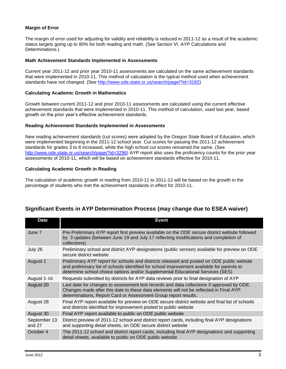#### **Margin of Error**

The margin of error used for adjusting for validity and reliability is reduced in 2011-12 as a result of the academic status targets going up to 80% for both reading and math. (See Section VI. AYP Calculations and Determinations.)

#### **Math Achievement Standards Implemented in Assessments**

Current year 2011-12 and prior year 2010-11 assessments are calculated on the same achievement standards that were implemented in 2010-11. This method of calculation is the typical method used when achievement standards have not changed. (See [http://www.ode.state.or.us/search/page/?id=3182\)](http://www.ode.state.or.us/search/page/?id=3182)

#### **Calculating Academic Growth in Mathematics**

Growth between current 2011-12 and prior 2010-11 assessments are calculated using the current effective achievement standards that were implemented in 2010-11. This method of calculation, used last year, based growth on the prior year's effective achievement standards.

#### **Reading Achievement Standards Implemented in Assessments**

New reading achievement standards (cut scores) were adopted by the Oregon State Board of Education, which were implemented beginning in the 2011-12 school year. Cut scores for passing the 2011-12 achievement standards for grades 3 to 8 increased, while the high school cut scores remained the same. (See [http://www.ode.state.or.us/search/page/?id=3296\)](http://www.ode.state.or.us/search/page/?id=3296) AYP report also uses the proficiency counts for the prior year assessments of 2010-11, which will be based on achievement standards effective for 2010-11.

#### **Calculating Academic Growth in Reading**

The calculation of academic growth in reading from 2010-11 to 2011-12 will be based on the growth in the percentage of students who met the achievement standards in effect for 2010-11.

| <b>Date</b>            | Event                                                                                                                                                                                                                                                                      |
|------------------------|----------------------------------------------------------------------------------------------------------------------------------------------------------------------------------------------------------------------------------------------------------------------------|
| June 7                 | Pre-Preliminary AYP report first preview available on the ODE secure district website followed<br>by 3 updates (between June 19 and July 17 reflecting modifications and completion of<br>collections)                                                                     |
| July 26                | Preliminary school and district AYP designations (public version) available for preview on ODE<br>secure district website                                                                                                                                                  |
| August 1               | Preliminary AYP report for schools and districts released and posted on ODE public website<br>and preliminary list of schools identified for school improvement available for parents to<br>determine school choice options and/or Supplemental Educational Services (SES) |
| August 1-16            | Requests submitted by districts for AYP data reviews prior to final designation of AYP                                                                                                                                                                                     |
| August 20              | Last date for changes to assessment test records and data collections if approved by ODE.<br>Changes made after this date to these data elements will not be reflected in Final AYP<br>determinations, Report Card or Assessment Group report results.                     |
| August 28              | Final AYP report available for preview on ODE secure district website and final list of schools<br>and districts identified for improvement posted to public website                                                                                                       |
| August 30              | Final AYP report available to public on ODE public website                                                                                                                                                                                                                 |
| September 13<br>and 27 | District preview of 2011-12 school and district report cards, including final AYP designations<br>and supporting detail sheets, on ODE secure district website                                                                                                             |
| October 4              | The 2011-12 school and district report cards, including final AYP designations and supporting<br>detail sheets, available to public on ODE public website                                                                                                                  |

## **Significant Events in AYP Determination Process (may change due to ESEA waiver)**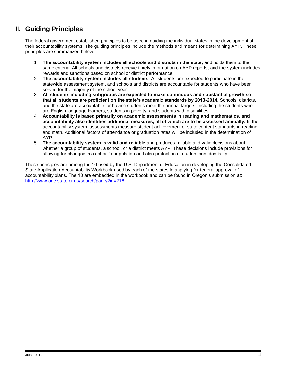# <span id="page-8-0"></span>**II. Guiding Principles**

The federal government established principles to be used in guiding the individual states in the development of their accountability systems. The guiding principles include the methods and means for determining AYP. These principles are summarized below.

- 1. **The accountability system includes all schools and districts in the state**, and holds them to the same criteria. All schools and districts receive timely information on AYP reports, and the system includes rewards and sanctions based on school or district performance.
- 2. **The accountability system includes all students**. All students are expected to participate in the statewide assessment system, and schools and districts are accountable for students who have been served for the majority of the school year.
- 3. **All students including subgroups are expected to make continuous and substantial growth so that all students are proficient on the state's academic standards by 2013-2014.** Schools, districts, and the state are accountable for having students meet the annual targets, including the students who are English language learners, students in poverty, and students with disabilities.
- 4. **Accountability is based primarily on academic assessments in reading and mathematics, and accountability also identifies additional measures, all of which are to be assessed annually.** In the accountability system, assessments measure student achievement of state content standards in reading and math. Additional factors of attendance or graduation rates will be included in the determination of AYP.
- 5. **The accountability system is valid and reliable** and produces reliable and valid decisions about whether a group of students, a school, or a district meets AYP. These decisions include provisions for allowing for changes in a school's population and also protection of student confidentiality.

These principles are among the 10 used by the U.S. Department of Education in developing the Consolidated State Application Accountability Workbook used by each of the states in applying for federal approval of accountability plans. The 10 are embedded in the workbook and can be found in Oregon's submission at: [http://www.ode.state.or.us/search/page/?id=218.](http://www.ode.state.or.us/search/page/?id=218)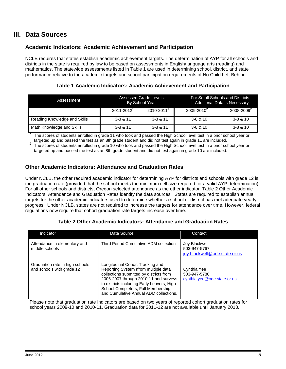## <span id="page-9-0"></span>**III. Data Sources**

## <span id="page-9-1"></span>**Academic Indicators: Academic Achievement and Participation**

NCLB requires that states establish academic achievement targets. The determination of AYP for all schools and districts in the state is required by law to be based on assessments in English/language arts (reading) and mathematics. The statewide assessments listed in Table **1** are used in determining school, district, and state performance relative to the academic targets and school participation requirements of No Child Left Behind.

**Table 1 Academic Indicators: Academic Achievement and Participation**

<span id="page-9-3"></span>

| Assessment                   | Assessed Grade Levels<br>By School Year |              |                        | For Small Schools and Districts<br>If Additional Data is Necessary |
|------------------------------|-----------------------------------------|--------------|------------------------|--------------------------------------------------------------------|
|                              | $2011 - 2012$                           | 2010-2011    | 2009-2010 <sup>2</sup> | 2008-2009 <sup>2</sup>                                             |
| Reading Knowledge and Skills | $3 - 8 & 11$                            | $3 - 8 & 11$ | $3 - 8 & 10$           | $3 - 8 & 10$                                                       |
| Math Knowledge and Skills    | $3 - 8 & 11$                            | $3 - 8 & 11$ | $3 - 8 & 10$           | $3 - 8 & 10$                                                       |

1 The scores of students enrolled in grade 11 who took and passed the High School level test in a prior school year or targeted up and passed the test as an 8th grade student and did not test again in grade 11 are included.

2 The scores of students enrolled in grade 10 who took and passed the High School level test in a prior school year or targeted up and passed the test as an 8th grade student and did not test again in grade 10 are included.

## <span id="page-9-2"></span>**Other Academic Indicators: Attendance and Graduation Rates**

Under NCLB, the other required academic indicator for determining AYP for districts and schools with grade 12 is the graduation rate (provided that the school meets the minimum cell size required for a valid AYP determination). For all other schools and districts, Oregon selected attendance as the other indicator. Table **2** Other Academic Indicators: Attendance and Graduation Rates identify the data sources. States are required to establish annual targets for the other academic indicators used to determine whether a school or district has met adequate yearly progress. Under NCLB, states are not required to increase the targets for attendance over time. However, federal regulations now require that cohort graduation rate targets increase over time.

#### **Table 2 Other Academic Indicators: Attendance and Graduation Rates**

<span id="page-9-4"></span>

| Indicator                                                    | Data Source                                                                                                                                                                                                                                                                                 | Contact                                                        |
|--------------------------------------------------------------|---------------------------------------------------------------------------------------------------------------------------------------------------------------------------------------------------------------------------------------------------------------------------------------------|----------------------------------------------------------------|
| Attendance in elementary and<br>middle schools               | Third Period Cumulative ADM collection                                                                                                                                                                                                                                                      | Joy Blackwell<br>503-947-5767<br>joy.blackwell@ode.state.or.us |
| Graduation rate in high schools<br>and schools with grade 12 | Longitudinal Cohort Tracking and<br>Reporting System (from multiple data<br>collections submitted by districts from<br>2006-2007 through 2010-11 and surveys<br>to districts including Early Leavers, High<br>School Completers, Fall Membership,<br>and Cumulative Annual ADM collections. | Cynthia Yee<br>503-947-5780<br>cynthia.yee@ode.state.or.us     |

Please note that graduation rate indicators are based on two years of reported cohort graduation rates for school years 2009-10 and 2010-11. Graduation data for 2011-12 are not available until January 2013.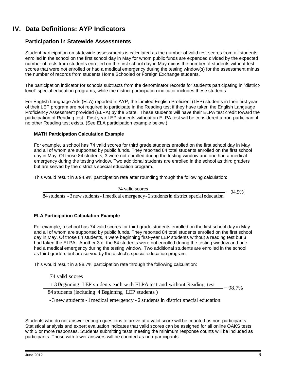# <span id="page-10-0"></span>**IV. Data Definitions: AYP Indicators**

#### <span id="page-10-1"></span>**Participation in Statewide Assessments**

Student participation on statewide assessments is calculated as the number of valid test scores from all students enrolled in the school on the first school day in May for whom public funds are expended divided by the expected number of tests from students enrolled on the first school day in May minus the number of students without test scores that were not enrolled or had a medical emergency during the testing window(s) for the assessment minus the number of records from students Home Schooled or Foreign Exchange students.

The participation indicator for schools subtracts from the denominator records for students participating in "districtlevel" special education programs, while the district participation indicator includes these students.

For English Language Arts (ELA) reported in AYP, the Limited English Proficient (LEP) students in their first year of their LEP program are not required to participate in the Reading test if they have taken the English Language Proficiency Assessment provided (ELPA) by the State. These students will have their ELPA test credit toward the participation of Reading test. First year LEP students without an ELPA test will be considered a non-participant if no other Reading test exists. (See ELA participation example below.)

#### **MATH Participation Calculation Example**

For example, a school has 74 valid scores for third grade students enrolled on the first school day in May and all of whom are supported by public funds. They reported 84 total students enrolled on the first school day in May. Of those 84 students, 3 were not enrolled during the testing window and one had a medical emergency during the testing window. Two additional students are enrolled in the school as third graders but are served by the district's special education program.

This would result in a 94.9% participation rate after rounding through the following calculation:

74 valid scores

 $=94.9%$ 

84 students - 3 new students - 1 medical emergency - 2 students in district special education

#### **ELA Participation Calculation Example**

For example, a school has 74 valid scores for third grade students enrolled on the first school day in May and all of whom are supported by public funds. They reported 84 total students enrolled on the first school day in May. Of those 84 students, 4 were beginning first-year LEP students without a reading test but 3 had taken the ELPA. Another 3 of the 84 students were not enrolled during the testing window and one had a medical emergency during the testing window. Two additional students are enrolled in the school as third graders but are served by the district's special education program.

This would result in a 98.7% participation rate through the following calculation:

74 valid scores

+3 Beginning LEP students each with ELPA test and without Reading test

 $=98.7%$ 

84 students (including 4 Beginning LEP students )

- 3 new students -1medical emergency - 2 students in district special education

Students who do not answer enough questions to arrive at a valid score will be counted as non-participants. Statistical analysis and expert evaluation indicates that valid scores can be assigned for all online OAKS tests with 5 or more responses. Students submitting tests meeting the minimum response counts will be included as participants. Those with fewer answers will be counted as non-participants.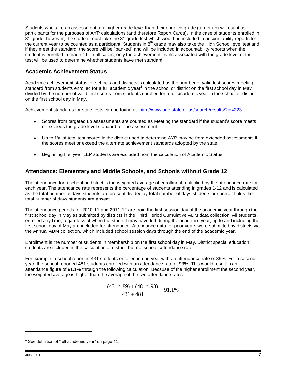Students who take an assessment at a higher grade level than their enrolled grade (target-up) will count as participants for the purposes of AYP calculations (and therefore Report Cards). In the case of students enrolled in .<br>8<sup>th</sup> grade, however, the student must take the 8<sup>th</sup> grade test which would be included in accountability reports for the current year to be counted as a participant. Students in 8<sup>th</sup> grade may also take the High School level test and if they meet the standard, the score will be "banked" and will be included in accountability reports when the student is enrolled in grade 11. In all cases, only the achievement levels associated with the grade level of the test will be used to determine whether students have met standard.

## <span id="page-11-0"></span>**Academic Achievement Status**

Academic achievement status for schools and districts is calculated as the number of valid test scores meeting standard from students enrolled for a full academic year<sup>1</sup> in the school or district on the first school day in May divided by the number of valid test scores from students enrolled for a full academic year in the school or district on the first school day in May.

Achievement standards for state tests can be found at:<http://www.ode.state.or.us/search/results/?id=223>

- Scores from targeted up assessments are counted as Meeting the standard if the student's score meets  $\bullet$ or exceeds the grade level standard for the assessment.
- Up to 1% of total test scores in the district used to determine AYP may be from extended assessments if  $\bullet$ the scores meet or exceed the alternate achievement standards adopted by the state.
- Beginning first year LEP students are excluded from the calculation of Academic Status.

## <span id="page-11-1"></span>**Attendance: Elementary and Middle Schools, and Schools without Grade 12**

The attendance for a school or district is the weighted average of enrollment multiplied by the attendance rate for each year. The attendance rate represents the percentage of students attending in grades 1-12 and is calculated as the total number of days students are present divided by total number of days students are present plus the total number of days students are absent.

The attendance periods for 2010-11 and 2011-12 are from the first session day of the academic year through the first school day in May as submitted by districts in the Third Period Cumulative ADM data collection. All students enrolled any time, regardless of when the student may have left during the academic year, up to and including the first school day of May are included for attendance. Attendance data for prior years were submitted by districts via the Annual ADM collection, which included school session days through the end of the academic year.

Enrollment is the number of students in membership on the first school day in May. District special education students are included in the calculation of district, but not school, attendance rate.

For example, a school reported 431 students enrolled in one year with an attendance rate of 89%. For a second year, the school reported 481 students enrolled with an attendance rate of 93%. This would result in an attendance figure of 91.1% through the following calculation. Because of the higher enrollment the second year, the weighted average is higher than the average of the two attendance rates.

> 91.1%  $431 + 481$  $(431*.89) + (481*.93)$

l

<sup>1</sup> See definition of "full academic year" on page 11.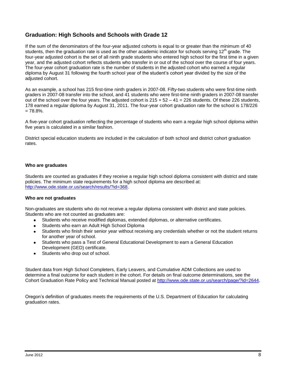## <span id="page-12-0"></span>**Graduation: High Schools and Schools with Grade 12**

If the sum of the denominators of the four-year adjusted cohorts is equal to or greater than the minimum of 40 students, then the graduation rate is used as the other academic indicator for schools serving 12<sup>th</sup> grade. The four-year adjusted cohort is the set of all ninth grade students who entered high school for the first time in a given year, and the adjusted cohort reflects students who transfer in or out of the school over the course of four years. The four-year cohort graduation rate is the number of students in the adjusted cohort who earned a regular diploma by August 31 following the fourth school year of the student's cohort year divided by the size of the adjusted cohort.

As an example, a school has 215 first-time ninth graders in 2007-08. Fifty-two students who were first-time ninth graders in 2007-08 transfer into the school, and 41 students who were first-time ninth graders in 2007-08 transfer out of the school over the four years. The adjusted cohort is  $215 + 52 - 41 = 226$  students. Of these 226 students, 178 earned a regular diploma by August 31, 2011. The four-year cohort graduation rate for the school is 178/226  $= 78.8\%$ .

A five-year cohort graduation reflecting the percentage of students who earn a regular high school diploma within five years is calculated in a similar fashion.

District special education students are included in the calculation of both school and district cohort graduation rates.

#### **Who are graduates**

Students are counted as graduates if they receive a regular high school diploma consistent with district and state policies. The minimum state requirements for a high school diploma are described at: [http://www.ode.state.or.us/search/results/?id=368.](http://www.ode.state.or.us/search/results/?id=368)

#### **Who are not graduates**

Non-graduates are students who do not receive a regular diploma consistent with district and state policies. Students who are not counted as graduates are:

- Students who receive modified diplomas, extended diplomas, or alternative certificates.
- Students who earn an Adult High School Diploma
- Students who finish their senior year without receiving any credentials whether or not the student returns  $\bullet$ for another year of school.
- Students who pass a Test of General Educational Development to earn a General Education Development (GED) certificate.
- Students who drop out of school.

Student data from High School Completers, Early Leavers, and Cumulative ADM Collections are used to determine a final outcome for each student in the cohort. For details on final outcome determinations, see the Cohort Graduation Rate Policy and Technical Manual posted at [http://www.ode.state.or.us/search/page/?id=2644.](http://www.ode.state.or.us/search/page/?id=2644)

Oregon's definition of graduates meets the requirements of the U.S. Department of Education for calculating graduation rates.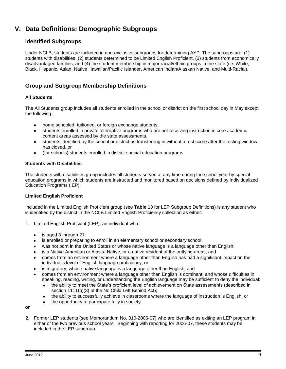# <span id="page-13-0"></span>**V. Data Definitions: Demographic Subgroups**

## <span id="page-13-1"></span>**Identified Subgroups**

Under NCLB, students are included in non-exclusive subgroups for determining AYP. The subgroups are: (1) students with disabilities, (2) students determined to be Limited English Proficient, (3) students from economically disadvantaged families, and (4) the student membership in major racial/ethnic groups in the state (i.e. White, Black, Hispanic, Asian, Native Hawaiian/Pacific Islander, American Indian/Alaskan Native, and Multi-Racial).

## <span id="page-13-2"></span>**Group and Subgroup Membership Definitions**

#### **All Students**

The All Students group includes all students enrolled in the school or district on the first school day in May except the following:

- home schooled, tuitioned, or foreign exchange students,
- students enrolled in private alternative programs who are not receiving instruction in core academic  $\bullet$ content areas assessed by the state assessments,
- students identified by the school or district as transferring in without a test score after the testing window  $\bullet$ has closed, or
- (for schools) students enrolled in district special education programs.  $\bullet$

#### **Students with Disabilities**

The students with disabilities group includes all students served at any time during the school year by special education programs in which students are instructed and monitored based on decisions defined by Individualized Education Programs (IEP).

#### **Limited English Proficient**

Included in the Limited English Proficient group (see **[Table 13](#page-40-0)** for LEP Subgroup Definitions) is any student who is identified by the district in the NCLB Limited English Proficiency collection as either:

- 1. Limited English Proficient (LEP), an individual who:
	- is aged 3 through 21;
	- is enrolled or preparing to enroll in an elementary school or secondary school;
	- was not born in the United States or whose native language is a language other than English;
	- is a Native American or Alaska Native, or a native resident of the outlying areas; and
	- comes from an environment where a language other than English has had a significant impact on the individual's level of English language proficiency; or
	- is migratory, whose native language is a language other than English, and
	- comes from an environment where a language other than English is dominant; and whose difficulties in speaking, reading, writing, or understanding the English language may be sufficient to deny the individual:
		- the ability to meet the State's proficient level of achievement on State assessments (described in section 1111(b)(3) of the No Child Left Behind Act);
		- the ability to successfully achieve in classrooms where the language of instruction is English; or  $\bullet$
		- the opportunity to participate fully in society.

**or**

2. Former LEP students (see Memorandum No. 010-2006-07) who are identified as exiting an LEP program in either of the two previous school years. Beginning with reporting for 2006-07, these students may be included in the LEP subgroup.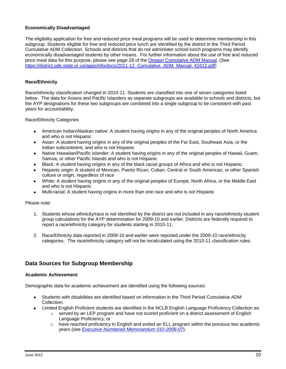#### **Economically Disadvantaged**

The eligibility application for free and reduced price meal programs will be used to determine membership in this subgroup. Students eligible for free and reduced price lunch are identified by the district in the Third Period Cumulative ADM Collection. Schools and districts that do not administer school lunch programs may identify economically disadvantaged students by other means. For further information about the use of free and reduced price meal data for this purpose, please see page 28 of the [Oregon Cumulative ADM Manual.](https://district.ode.state.or.us/apps/info/docs/2011-12_Cumulative_ADM_Manual_41612.pdf) (See [https://district.ode.state.or.us/apps/info/docs/2011-12\\_Cumulative\\_ADM\\_Manual\\_41612.pdf\)](https://district.ode.state.or.us/apps/info/docs/2011-12_Cumulative_ADM_Manual_41612.pdf)

#### **Race/Ethnicity**

Race/ethnicity classification changed in 2010-11. Students are classified into one of seven categories listed below. The data for Asians and Pacific Islanders as separate subgroups are available to schools and districts, but the AYP designations for these two subgroups are combined into a single subgroup to be consistent with past years for accountability.

#### Race/Ethnicity Categories

- American Indian/Alaskan native: A student having origins in any of the original peoples of North America and who is not Hispanic
- Asian: A student having origins in any of the original peoples of the Far East, Southeast Asia, or the Indian subcontinent, and who is not Hispanic
- Native Hawaiian/Pacific islander: A student having origins in any of the original peoples of Hawaii, Guam,  $\bullet$ Samoa, or other Pacific Islands and who is not Hispanic
- Black: A student having origins in any of the black racial groups of Africa and who is not Hispanic.
- Hispanic origin: A student of Mexican, Puerto Rican, Cuban, Central or South American, or other Spanish  $\bullet$ culture or origin, regardless of race
- White: A student having origins in any of the original peoples of Europe, North Africa, or the Middle East  $\bullet$ and who is not Hispanic
- Multi-racial: A student having origins in more than one race and who is not Hispanic

#### Please note:

- 1. Students whose ethnicity/race is not identified by the district are not included in any race/ethnicity student group calculations for the AYP determination for 2009-10 and earlier. Districts are federally required to report a race/ethnicity category for students starting in 2010-11.
- 2. Race/Ethnicity data reported in 2009-10 and earlier were reported under the 2009-10 race/ethnicity categories. The race/ethnicity category will not be recalculated using the 2010-11 classification rules.

## <span id="page-14-0"></span>**Data Sources for Subgroup Membership**

#### **Academic Achievement**

Demographic data for academic achievement are identified using the following sources:

- Students with disabilities are identified based on information in the Third Period Cumulative ADM Collection.
- Limited English Proficient students are identified in the NCLB English Language Proficiency Collection as:
	- $\circ$  served by an LEP program and have not scored proficient on a district assessment of English Language Proficiency; or
	- $\circ$  have reached proficiency in English and exited an ELL program within the previous two academic years (see *[Executive Numbered Memorandum 010-2006-07](http://www.ode.state.or.us/news/announcements/announcement.aspx?ID=2503&TypeID=4)*).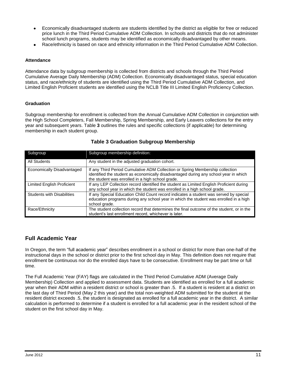- Economically disadvantaged students are students identified by the district as eligible for free or reduced price lunch in the Third Period Cumulative ADM Collection. In schools and districts that do not administer school lunch programs, students may be identified as economically disadvantaged by other means.
- Race/ethnicity is based on race and ethnicity information in the Third Period Cumulative ADM Collection.

#### **Attendance**

Attendance data by subgroup membership is collected from districts and schools through the Third Period Cumulative Average Daily Membership (ADM) Collection. Economically disadvantaged status, special education status, and race/ethnicity of students are identified using the Third Period Cumulative ADM Collection, and Limited English Proficient students are identified using the NCLB Title III Limited English Proficiency Collection.

#### **Graduation**

Subgroup membership for enrollment is collected from the Annual Cumulative ADM Collection in conjunction with the High School Completers, Fall Membership, Spring Membership, and Early Leavers collections for the entry year and subsequent years. [Table](#page-15-2) **3** outlines the rules and specific collections (if applicable) for determining membership in each student group.

<span id="page-15-2"></span>

| Subgroup                          | Subgroup membership definition:                                                                                                                                                                                           |
|-----------------------------------|---------------------------------------------------------------------------------------------------------------------------------------------------------------------------------------------------------------------------|
| All Students                      | Any student in the adjusted graduation cohort.                                                                                                                                                                            |
| Economically Disadvantaged        | If any Third Period Cumulative ADM Collection or Spring Membership collection<br>identified the student as economically disadvantaged during any school year in which<br>the student was enrolled in a high school grade. |
| <b>Limited English Proficient</b> | If any LEP Collection record identified the student as Limited English Proficient during<br>any school year in which the student was enrolled in a high school grade.                                                     |
| <b>Students with Disabilities</b> | If any Special Education Child Count record indicates a student was served by special<br>education programs during any school year in which the student was enrolled in a high<br>school grade.                           |
| Race/Ethnicity                    | The student collection record that determines the final outcome of the student, or in the<br>student's last enrollment record, whichever is later.                                                                        |

#### **Table 3 Graduation Subgroup Membership**

## <span id="page-15-0"></span>**Full Academic Year**

In Oregon, the term "full academic year" describes enrollment in a school or district for more than one-half of the instructional days in the school or district prior to the first school day in May. This definition does not require that enrollment be continuous nor do the enrolled days have to be consecutive. Enrollment may be part time or full time.

<span id="page-15-1"></span>The Full Academic Year (FAY) flags are calculated in the Third Period Cumulative ADM (Average Daily Membership) Collection and applied to assessment data. Students are identified as enrolled for a full academic year when their ADM within a resident district or school is greater than .5. If a student is resident at a district on the last day of Third Period (May 2 this year) and the total non-weighted ADM submitted for the student at the resident district exceeds .5, the student is designated as enrolled for a full academic year in the district. A similar calculation is performed to determine if a student is enrolled for a full academic year in the resident school of the student on the first school day in May.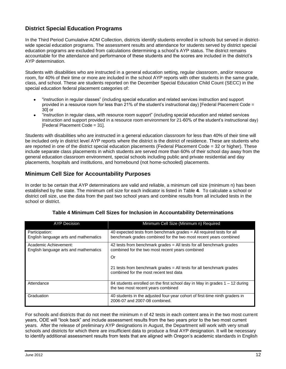## **District Special Education Programs**

In the Third Period Cumulative ADM Collection, districts identify students enrolled in schools but served in districtwide special education programs. The assessment results and attendance for students served by district special education programs are excluded from calculations determining a school's AYP status. The district remains accountable for the attendance and performance of these students and the scores are included in the district's AYP determination.

Students with disabilities who are instructed in a general education setting, regular classroom, and/or resource room, for 40% of their time or more are included in the school AYP reports with other students in the same grade, class, and school. These are students reported on the December Special Education Child Count (SECC) in the special education federal placement categories of:

- "instruction in regular classes" (including special education and related services instruction and support provided in a resource room for less than 21% of the student's instructional day) [Federal Placement Code = 30] or
- "instruction in regular class, with resource room support" (including special education and related services instruction and support provided in a resource room environment for 21-60% of the student's instructional day) [Federal Placement Code = 31].

Students with disabilities who are instructed in a general education classroom for less than 40% of their time will be included only in district level AYP reports where the district is the district of residence. These are students who are reported in one of the district special education placements (Federal Placement Code = 32 or higher). These include separate class placements in which students are served more than 60% of their school day away from the general education classroom environment, special schools including public and private residential and day placements, hospitals and institutions, and homebound (not home-schooled) placements.

## **Minimum Cell Size for Accountability Purposes**

In order to be certain that AYP determinations are valid and reliable, a minimum cell size (minimum n) has been established by the state. The minimum cell size for each indicator is listed in [Table](#page-16-1) **4**. To calculate a school or district cell size, use the data from the past two school years and combine results from all included tests in the school or district.

<span id="page-16-1"></span>

| <b>AYP Decision</b>                                            | Minimum Cell Size (Minimum n) Required                                                                                                                                                                                                            |
|----------------------------------------------------------------|---------------------------------------------------------------------------------------------------------------------------------------------------------------------------------------------------------------------------------------------------|
| Participation:<br>English language arts and mathematics        | 40 expected tests from benchmark grades = All required tests for all<br>benchmark grades combined for the two most recent years combined                                                                                                          |
| Academic Achievement:<br>English language arts and mathematics | 42 tests from benchmark grades $=$ All tests for all benchmark grades<br>combined for the two most recent years combined<br>Or<br>21 tests from benchmark grades $=$ All tests for all benchmark grades<br>combined for the most recent test data |
| Attendance                                                     | 84 students enrolled on the first school day in May in grades 1 – 12 during<br>the two most recent years combined                                                                                                                                 |
| Graduation                                                     | 40 students in the adjusted four-year cohort of first-time ninth graders in<br>2006-07 and 2007-08 combined.                                                                                                                                      |

## <span id="page-16-0"></span>**Table 4 Minimum Cell Sizes for Inclusion in Accountability Determinations**

For schools and districts that do not meet the minimum n of 42 tests in each content area in the two most current years, ODE will "look back" and include assessment results from the two years prior to the two most current years. After the release of preliminary AYP designations in August, the Department will work with very small schools and districts for which there are insufficient data to produce a final AYP designation. It will be necessary to identify additional assessment results from tests that are aligned with Oregon's academic standards in English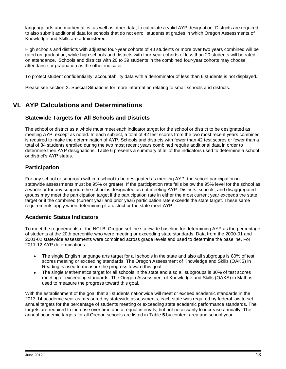language arts and mathematics, as well as other data, to calculate a valid AYP designation. Districts are required to also submit additional data for schools that do not enroll students at grades in which Oregon Assessments of Knowledge and Skills are administered.

High schools and districts with adjusted four-year cohorts of 40 students or more over two years combined will be rated on graduation, while high schools and districts with four-year cohorts of less than 20 students will be rated on attendance. Schools and districts with 20 to 39 students in the combined four-year cohorts may choose attendance or graduation as the other indicator.

To protect student confidentiality, accountability data with a denominator of less than 6 students is not displayed.

<span id="page-17-0"></span>Please see section [X. Special Situations](#page-27-1) for more information relating to small schools and districts.

## **VI. AYP Calculations and Determinations**

#### <span id="page-17-1"></span>**Statewide Targets for All Schools and Districts**

The school or district as a whole must meet each indicator target for the school or district to be designated as meeting AYP, except as noted. In each subject, a total of 42 test scores from the two most recent years combined is required to make the determination of AYP. Schools and districts with fewer than 42 test scores or fewer than a total of 84 students enrolled during the two most recent years combined require additional data in order to determine their AYP designations. [Table 6](#page-19-0) presents a summary of all of the indicators used to determine a school or district's AYP status.

## <span id="page-17-2"></span>**Participation**

For any school or subgroup within a school to be designated as meeting AYP, the school participation in statewide assessments must be 95% or greater. If the participation rate falls below the 95% level for the school as a whole or for any subgroup the school is designated as not meeting AYP. Districts, schools, and disaggregated groups may meet the participation target if the participation rate in either the most current year exceeds the state target or if the combined (current year and prior year) participation rate exceeds the state target. These same requirements apply when determining if a district or the state meet AYP.

## <span id="page-17-3"></span>**Academic Status Indicators**

To meet the requirements of the NCLB, Oregon set the statewide baseline for determining AYP as the percentage of students at the 20th percentile who were meeting or exceeding state standards. Data from the 2000-01 and 2001-02 statewide assessments were combined across grade levels and used to determine the baseline. For 2011-12 AYP determinations:

- The single English language arts target for all schools in the state and also all subgroups is 80% of test  $\bullet$ scores meeting or exceeding standards. The Oregon Assessment of Knowledge and Skills (OAKS) in Reading is used to measure the progress toward this goal.
- The single Mathematics target for all schools in the state and also all subgroups is 80% of test scores meeting or exceeding standards. The Oregon Assessment of Knowledge and Skills (OAKS) in Math is used to measure the progress toward this goal.

With the establishment of the goal that all students nationwide will meet or exceed academic standards in the 2013-14 academic year as measured by statewide assessments, each state was required by federal law to set annual targets for the percentage of students meeting or exceeding state academic performance standards. The targets are required to increase over time and at equal intervals, but not necessarily to increase annually. The annual academic targets for all Oregon schools are listed in [Table](#page-18-3) **5** by content area and school year.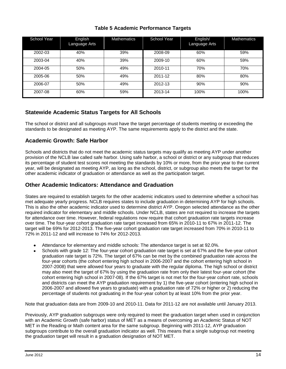| <b>Table 5 Academic Performance Targets</b> |  |  |
|---------------------------------------------|--|--|
|---------------------------------------------|--|--|

<span id="page-18-3"></span>

| <b>School Year</b> | English<br>Language Arts | <b>Mathematics</b> | <b>School Year</b> | English/<br>Language Arts | <b>Mathematics</b> |
|--------------------|--------------------------|--------------------|--------------------|---------------------------|--------------------|
| 2002-03            | 40%                      | 39%                | 2008-09            | 60%                       | 59%                |
| 2003-04            | 40%                      | 39%                | 2009-10            | 60%                       | 59%                |
| 2004-05            | 50%                      | 49%                | 2010-11            | 70%                       | 70%                |
| 2005-06            | 50%                      | 49%                | 2011-12            | 80%                       | 80%                |
| 2006-07            | 50%                      | 49%                | 2012-13            | 90%                       | 90%                |
| 2007-08            | 60%                      | 59%                | 2013-14            | 100%                      | 100%               |

## <span id="page-18-0"></span>**Statewide Academic Status Targets for All Schools**

The school or district and all subgroups must have the target percentage of students meeting or exceeding the standards to be designated as meeting AYP. The same requirements apply to the district and the state.

## <span id="page-18-1"></span>**Academic Growth: Safe Harbor**

Schools and districts that do not meet the academic status targets may qualify as meeting AYP under another provision of the NCLB law called safe harbor. Using safe harbor, a school or district or any subgroup that reduces its percentage of student test scores not meeting the standards by 10% or more, from the prior year to the current year, will be designated as meeting AYP, as long as the school, district, or subgroup also meets the target for the other academic indicator of graduation or attendance as well as the participation target.

## <span id="page-18-2"></span>**Other Academic Indicators: Attendance and Graduation**

States are required to establish targets for the other academic indicators used to determine whether a school has met adequate yearly progress. NCLB requires states to include graduation in determining AYP for high schools. This is also the other academic indicator used to determine district AYP. Oregon selected attendance as the other required indicator for elementary and middle schools. Under NCLB, states are not required to increase the targets for attendance over time. However, federal regulations now require that cohort graduation rate targets increase over time. The four-year cohort graduation rate target increased from 65% in 2010-11 to 67% in 2011-12. The target will be 69% for 2012-2013. The five-year cohort graduation rate target increased from 70% in 2010-11 to 72% in 2011-12 and will increase to 74% for 2012-2013.

- Attendance for elementary and middle schools: The attendance target is set at 92.0%.
- Schools with grade 12: The four-year cohort graduation rate target is set at 67% and the five-year cohort graduation rate target is 72%. The target of 67% can be met by the combined graduation rate across the four-year cohorts (the cohort entering high school in 2006-2007 and the cohort entering high school in 2007-2008) that were allowed four years to graduate with the regular diploma. The high school or district may also meet the target of 67% by using the graduation rate from only their latest four-year cohort (the cohort entering high school in 2007-08). If the 67% target is not met for the four-year cohort rate, schools and districts can meet the AYP graduation requirement by 1) the five-year cohort (entering high school in 2006-2007 and allowed five years to graduate) with a graduation rate of 72% or higher or 2) reducing the percentage of students not graduating in the four-year cohort by at least 10% from the prior year.

Note that graduation data are from 2009-10 and 2010-11. Data for 2011-12 are not available until January 2013.

Previously, AYP graduation subgroups were only required to meet the graduation target when used in conjunction with an Academic Growth (safe harbor) status of MET as a means of overcoming an Academic Status of NOT MET in the Reading or Math content area for the same subgroup. Beginning with 2011-12, AYP graduation subgroups contribute to the overall graduation indicator as well. This means that a single subgroup not meeting the graduation target will result in a graduation designation of NOT MET.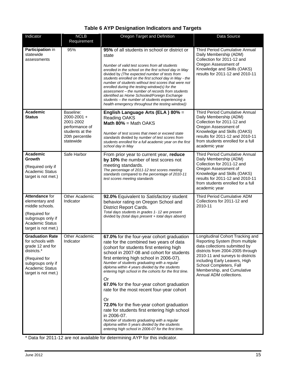<span id="page-19-0"></span>

| Indicator                                                                                                                                                            | <b>NCLB</b><br>Requirement                                                                                     | Oregon Target and Definition                                                                                                                                                                                                                                                                                                                                                                                                                                                                                                                                                                                                                                                                                                                                     | Data Source                                                                                                                                                                                                                                                                                       |
|----------------------------------------------------------------------------------------------------------------------------------------------------------------------|----------------------------------------------------------------------------------------------------------------|------------------------------------------------------------------------------------------------------------------------------------------------------------------------------------------------------------------------------------------------------------------------------------------------------------------------------------------------------------------------------------------------------------------------------------------------------------------------------------------------------------------------------------------------------------------------------------------------------------------------------------------------------------------------------------------------------------------------------------------------------------------|---------------------------------------------------------------------------------------------------------------------------------------------------------------------------------------------------------------------------------------------------------------------------------------------------|
| Participation in<br>statewide<br>assessments                                                                                                                         | 95%                                                                                                            | 95% of all students in school or district or<br>state<br>Number of valid test scores from all students<br>enrolled in the school on the first school day in May<br>divided by (The expected number of tests from<br>students enrolled on the first school day in May - the<br>number of students without test scores that were not<br>enrolled during the testing window(s) for the<br>assessment – the number of records from students<br>identified as Home Schooled/Foreign Exchange<br>students – the number of students experiencing a<br>health emergency throughout the testing window))                                                                                                                                                                  | <b>Third Period Cumulative Annual</b><br>Daily Membership (ADM)<br>Collection for 2011-12 and<br>Oregon Assessment of<br>Knowledge and Skills (OAKS)<br>results for 2011-12 and 2010-11                                                                                                           |
| Academic<br><b>Status</b>                                                                                                                                            | Baseline:<br>$2000 - 2001 +$<br>2001-2002<br>performance of<br>students at the<br>20th percentile<br>statewide | English Language Arts (ELA) 80% =<br>Reading OAKS<br><b>Math 80% = Math OAKS</b><br>Number of test scores that meet or exceed state<br>standards divided by number of test scores from<br>students enrolled for a full academic year on the first<br>school day in May                                                                                                                                                                                                                                                                                                                                                                                                                                                                                           | <b>Third Period Cumulative Annual</b><br>Daily Membership (ADM)<br>Collection for 2011-12 and<br>Oregon Assessment of<br>Knowledge and Skills (OAKS)<br>results for 2011-12 and 2010-11<br>from students enrolled for a full<br>academic year                                                     |
| Academic<br>Growth<br>(Required only if<br>Academic Status<br>target is not met.)                                                                                    | Safe Harbor                                                                                                    | From prior year to current year, reduce<br>by 10% the number of test scores not<br>meeting standards.<br>The percentage of 2011-12 test scores meeting<br>standards compared to the percentage of 2010-11<br>test scores meeting standards                                                                                                                                                                                                                                                                                                                                                                                                                                                                                                                       | Third Period Cumulative Annual<br>Daily Membership (ADM)<br>Collection for 2011-12 and<br>Oregon Assessment of<br>Knowledge and Skills (OAKS)<br>results for 2011-12 and 2010-11<br>from students enrolled for a full<br>academic year                                                            |
| Attendance for<br>elementary and<br>middle schools.<br>(Required for<br>subgroups only if<br><b>Academic Status</b><br>target is not met.)                           | Other Academic<br>Indicator                                                                                    | 92.0% Equivalent to Satisfactory student<br>behavior rating on Oregon School and<br><b>District Report Cards.</b><br>Total days students in grades 1- 12 are present<br>divided by (total days present + total days absent)                                                                                                                                                                                                                                                                                                                                                                                                                                                                                                                                      | Third Period Cumulative ADM<br>Collections for 2011-12 and<br>2010-11                                                                                                                                                                                                                             |
| <b>Graduation Rate</b><br>for schools with<br>grade 12 and for<br>districts.*<br>(Required for<br>subgroups only if<br><b>Academic Status</b><br>target is not met.) | Other Academic<br>Indicator                                                                                    | 67.0% for the four-year cohort graduation<br>rate for the combined two years of data<br>(cohort for students first entering high<br>school in 2007-08 and cohort for students<br>first entering high school in 2006-07).<br>Number of students graduating with a regular<br>diploma within 4 years divided by the students<br>entering high school in the cohorts for the first time.<br>Or<br>67.0% for the four-year cohort graduation<br>rate for the most recent four-year cohort<br>0r<br>72.0% for the five-year cohort graduation<br>rate for students first entering high school<br>in 2006-07.<br>Number of students graduating with a regular<br>diploma within 5 years divided by the students<br>entering high school in 2006-07 for the first time. | Longitudinal Cohort Tracking and<br>Reporting System (from multiple<br>data collections submitted by<br>districts from 2004-2005 through<br>2010-11 and surveys to districts<br>including Early Leavers, High<br>School Completers, Fall<br>Membership, and Cumulative<br>Annual ADM collections. |

## **Table 6 AYP Designation Indicators and Targets**

\* Data for 2011-12 are not available for determining AYP for this indicator.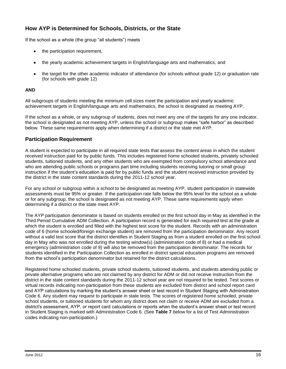## <span id="page-20-0"></span>**How AYP is Determined for Schools, Districts, or the State**

If the school as a whole (the group "all students") meets

- the participation requirement,
- the yearly academic achievement targets in English/language arts and mathematics, and
- the target for the other academic indicator of attendance (for schools without grade 12) or graduation rate (for schools with grade 12)

#### **AND**

All subgroups of students meeting the minimum cell sizes meet the participation and yearly academic achievement targets in English/language arts and mathematics, the school is designated as meeting AYP.

If the school as a whole, or any subgroup of students, does not meet any one of the targets for any one indicator, the school is designated as not meeting AYP, unless the school or subgroup makes "safe harbor" as described below. These same requirements apply when determining if a district or the state met AYP.

#### <span id="page-20-1"></span>**Participation Requirement**

A student is expected to participate in all required state tests that assess the content areas in which the student received instruction paid for by public funds. This includes registered home schooled students, privately schooled students, tuitioned students, and any other students who are exempted from compulsory school attendance and who are attending public schools or programs part time including students receiving tutoring or small group instruction if the student's education is paid for by public funds and the student received instruction provided by the district in the state content standards during the 2011-12 school year.

For any school or subgroup within a school to be designated as meeting AYP, student participation in statewide assessments must be 95% or greater. If the participation rate falls below the 95% level for the school as a whole or for any subgroup, the school is designated as not meeting AYP. These same requirements apply when determining if a district or the state meet AYP.

The AYP participation denominator is based on students enrolled on the first school day in May as identified in the Third Period Cumulative ADM Collection. A participation record is generated for each required test at the grade at which the student is enrolled and filled with the highest test score for the student. Records with an administration code of 6 (home schooled/foreign exchange student) are removed from the participation denominator. Any record without a valid test score that the district identifies in Student Staging as from a student enrolled on the first school day in May who was not enrolled during the testing window(s) (administration code of 8) or had a medical emergency (administration code of 9) will also be removed from the participation denominator. The records for students identified in the Participation Collection as enrolled in district special education programs are removed from the school's participation denominator but retained for the district calculations.

Registered home schooled students, private school students, tuitioned students, and students attending public or private alternative programs who are not claimed by any district for ADM or did not receive instruction from the district in the state content standards during the 2011-12 school year are not required to be tested. Test scores or virtual records indicating non-participation from these students are excluded from district and school report card and AYP calculations by marking the student's answer sheet or test record in Student Staging with Administration Code 6. Any student may request to participate in state tests. The scores of registered home schooled, private school students, or tuitioned students for whom any district does not claim or receive ADM are excluded from a district's assessment, AYP, or report card calculations or reports when the student's answer sheet or test record in Student Staging is marked with Administration Code 6. (See **[Table 7](#page-21-2)** below for a list of Test Administration codes indicating non-participation.)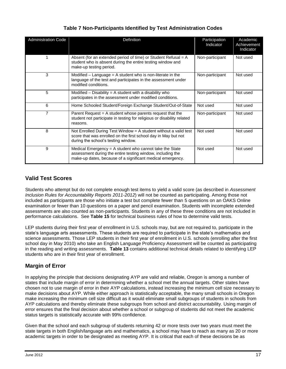<span id="page-21-2"></span>

| <b>Administration Code</b> | <b>Definition</b>                                                                                                                                                                   | Participation<br>Indicator | Academic<br>Achievement<br>Indicator |
|----------------------------|-------------------------------------------------------------------------------------------------------------------------------------------------------------------------------------|----------------------------|--------------------------------------|
|                            | Absent (for an extended period of time) or Student Refusal $= A$<br>student who is absent during the entire testing window and<br>make-up testing period.                           | Non-participant            | Not used                             |
| 3                          | Modified $-$ Language = A student who is non-literate in the<br>language of the test and participates in the assessment under<br>modified conditions.                               | Non-participant            | Not used                             |
| 5                          | Modified $-$ Disability $=$ A student with a disability who<br>participates in the assessment under modified conditions.                                                            | Non-participant            | Not used                             |
| 6                          | Home Schooled Student/Foreign Exchange Student/Out-of-State                                                                                                                         | Not used                   | Not used                             |
| 7                          | Parent Request $=$ A student whose parents request that the<br>student not participate in testing for religious or disability related<br>reasons.                                   | Non-participant            | Not used                             |
| 8                          | Not Enrolled During Test Window = A student without a valid test<br>score that was enrolled on the first school day in May but not<br>during the school's testing window.           | Not used                   | Not used                             |
| 9                          | Medical Emergency = A student who cannot take the State<br>assessment during the entire testing window, including the<br>make-up dates, because of a significant medical emergency. | Not used                   | Not used                             |

## <span id="page-21-0"></span>**Valid Test Scores**

Students who attempt but do not complete enough test items to yield a valid score (as described in *Assessment Inclusion Rules for Accountability Reports 2011-2012*) will not be counted as participating. Among those not included as participants are those who initiate a test but complete fewer than 5 questions on an OAKS Online examination or fewer than 10 questions on a paper and pencil examination. Students with incomplete extended assessments are also counted as non-participants. Students in any of these three conditions are not included in performance calculations. See **[Table 15](#page-42-0)** for technical business rules of how to determine valid tests.

LEP students during their first year of enrollment in U.S. schools may, but are not required to, participate in the state's language arts assessments. These students are required to participate in the state's mathematics and science assessments. Those LEP students in their first year of enrollment in U.S. schools (enrolling after the first school day in May 2010) who take an English Language Proficiency Assessment will be counted as participating in the reading and writing assessments. **[Table 13](#page-40-0)** contains additional technical details related to identifying LEP students who are in their first year of enrollment.

## <span id="page-21-1"></span>**Margin of Error**

In applying the principle that decisions designating AYP are valid and reliable, Oregon is among a number of states that include margin of error in determining whether a school met the annual targets. Other states have chosen not to use margin of error in their AYP calculations, instead increasing the minimum cell size necessary to make decisions about AYP. While either approach is statistically acceptable, the many small schools in Oregon make increasing the minimum cell size difficult as it would eliminate small subgroups of students in schools from AYP calculations and thereby eliminate these subgroups from school and district accountability. Using margin of error ensures that the final decision about whether a school or subgroup of students did not meet the academic status targets is statistically accurate with 99% confidence.

Given that the school and each subgroup of students returning 42 or more tests over two years must meet the state targets in both English/language arts and mathematics, a school may have to reach as many as 20 or more academic targets in order to be designated as meeting AYP. It is critical that each of these decisions be as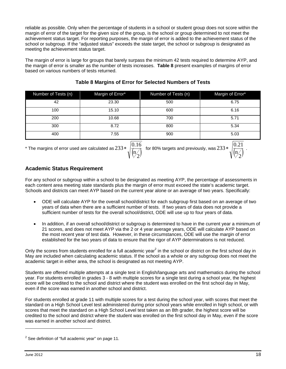reliable as possible. Only when the percentage of students in a school or student group does not score within the margin of error of the target for the given size of the group, is the school or group determined to not meet the achievement status target. For reporting purposes, the margin of error is added to the achievement status of the school or subgroup. If the "adjusted status" exceeds the state target, the school or subgroup is designated as meeting the achievement status target.

The margin of error is large for groups that barely surpass the minimum 42 tests required to determine AYP, and the margin of error is smaller as the number of tests increases. **Table 8** present examples of margins of error based on various numbers of tests returned.

| Number of Tests (n) | Margin of Error* | Number of Tests (n) | Margin of Error* |
|---------------------|------------------|---------------------|------------------|
| 42                  | 23.30            | 500                 | 6.75             |
| 100                 | 15.10            | 600                 | 6.16             |
| 200                 | 10.68            | 700                 | 5.71             |
| 300                 | 8.72             | 800                 | 5.34             |
| 400                 | 7.55             | 900                 | 5.03             |

## **Table 8 Margins of Error for Selected Numbers of Tests**

\* The margins of error used are calculated as 233  $\ast$   $\frac{|0.16|}{\sqrt{2}}$ 

 $233*\sqrt{\binom{0.16}{\binom{n}{2}}}$  for 80% targets and previously, was  $233*\sqrt{\binom{0.21}{\binom{n}{2}}}$ .

n

## **Academic Status Requirement**

For any school or subgroup within a school to be designated as meeting AYP, the percentage of assessments in each content area meeting state standards plus the margin of error must exceed the state's academic target. Schools and districts can meet AYP based on the current year alone or an average of two years. Specifically:

n

- ODE will calculate AYP for the overall school/district for each subgroup first based on an average of two years of data when there are a sufficient number of tests. If two years of data does not provide a sufficient number of tests for the overall school/district, ODE will use up to four years of data.
- In addition, if an overall school/district or subgroup is determined to have in the current year a minimum of 21 scores, and does not meet AYP via the 2 or 4 year average years, ODE will calculate AYP based on the most recent year of test data. However, in these circumstances, ODE will use the margin of error established for the two years of data to ensure that the rigor of AYP determinations is not reduced.

Only the scores from students enrolled for a full academic year<sup>2</sup> in the school or district on the first school day in May are included when calculating academic status. If the school as a whole or any subgroup does not meet the academic target in either area, the school is designated as not meeting AYP.

Students are offered multiple attempts at a single test in English/language arts and mathematics during the school year. For students enrolled in grades 3 - 8 with multiple scores for a single test during a school year, the highest score will be credited to the school and district where the student was enrolled on the first school day in May, even if the score was earned in another school and district.

For students enrolled at grade 11 with multiple scores for a test during the school year, with scores that meet the standard on a High School Level test administered during prior school years while enrolled in high school, or with scores that meet the standard on a High School Level test taken as an 8th grader, the highest score will be credited to the school and district where the student was enrolled on the first school day in May, even if the score was earned in another school and district.

 $\overline{a}$ 

 $2$  See definition of "full academic year" on page 11.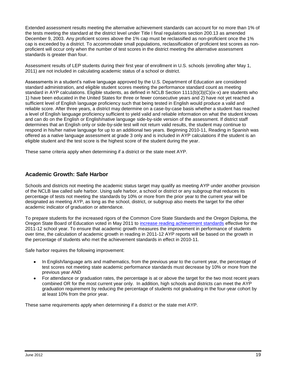Extended assessment results meeting the alternative achievement standards can account for no more than 1% of the tests meeting the standard at the district level under Title I final regulations section 200.13 as amended December 9, 2003. Any proficient scores above the 1% cap must be reclassified as non-proficient once the 1% cap is exceeded by a district. To accommodate small populations, reclassification of proficient test scores as nonproficient will occur only when the number of test scores in the district meeting the alternative assessment standards is greater than four.

Assessment results of LEP students during their first year of enrollment in U.S. schools (enrolling after May 1, 2011) are not included in calculating academic status of a school or district.

Assessments in a student's native language approved by the U.S. Department of Education are considered standard administration, and eligible student scores meeting the performance standard count as meeting standard in AYP calculations. Eligible students, as defined in NCLB Section 1111(b)(3)(C)(ix-x) are students who 1) have been educated in the United States for three or fewer consecutive years and 2) have not yet reached a sufficient level of English language proficiency such that being tested in English would produce a valid and reliable score. After three years, a district may determine on a case-by-case basis whether a student has reached a level of English language proficiency sufficient to yield valid and reliable information on what the student knows and can do on the English or English/native language side-by-side version of the assessment. If district staff determines that an English only or side-by-side test will not return valid results, the student may continue to respond in his/her native language for up to an additional two years. Beginning 2010-11, Reading in Spanish was offered as a native language assessment at grade 3 only and is included in AYP calculations if the student is an eligible student and the test score is the highest score of the student during the year.

<span id="page-23-0"></span>These same criteria apply when determining if a district or the state meet AYP.

#### **Academic Growth: Safe Harbor**

Schools and districts not meeting the academic status target may qualify as meeting AYP under another provision of the NCLB law called safe harbor. Using safe harbor, a school or district or any subgroup that reduces its percentage of tests not meeting the standards by 10% or more from the prior year to the current year will be designated as meeting AYP, as long as the school, district, or subgroup also meets the target for the other academic indicator of graduation or attendance.

To prepare students for the increased rigors of the Common Core State Standards and the Oregon Diploma, the Oregon State Board of Education voted in May 2011 to [increase reading achievement standards](http://www.ode.state.or.us/teachlearn/standards/contentperformance/achievementstds_1112.pdf) effective for the 2011-12 school year. To ensure that academic growth measures the improvement in performance of students over time, the calculation of academic growth in reading in 2011-12 AYP reports will be based on the growth in the percentage of students who met the achievement standards in effect in 2010-11.

Safe harbor requires the following improvement:

- In English/language arts and mathematics, from the previous year to the current year, the percentage of test scores not meeting state academic performance standards must decrease by 10% or more from the previous year AND
- For attendance or graduation rates, the percentage is at or above the target for the two most recent years combined OR for the most current year only. In addition, high schools and districts can meet the AYP graduation requirement by reducing the percentage of students not graduating in the four-year cohort by at least 10% from the prior year.

<span id="page-23-1"></span>These same requirements apply when determining if a district or the state met AYP.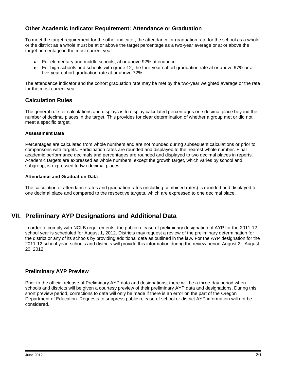## **Other Academic Indicator Requirement: Attendance or Graduation**

To meet the target requirement for the other indicator, the attendance or graduation rate for the school as a whole or the district as a whole must be at or above the target percentage as a two-year average or at or above the target percentage in the most current year.

- For elementary and middle schools, at or above 92% attendance
- For high schools and schools with grade 12, the four-year cohort graduation rate at or above 67% or a five-year cohort graduation rate at or above 72%

The attendance indicator and the cohort graduation rate may be met by the two-year weighted average or the rate for the most current year.

#### <span id="page-24-0"></span>**Calculation Rules**

The general rule for calculations and displays is to display calculated percentages one decimal place beyond the number of decimal places in the target. This provides for clear determination of whether a group met or did not meet a specific target.

#### **Assessment Data**

Percentages are calculated from whole numbers and are not rounded during subsequent calculations or prior to comparisons with targets. Participation rates are rounded and displayed to the nearest whole number. Final academic performance decimals and percentages are rounded and displayed to two decimal places in reports. Academic targets are expressed as whole numbers, except the growth target, which varies by school and subgroup, is expressed to two decimal places.

#### **Attendance and Graduation Data**

<span id="page-24-1"></span>The calculation of attendance rates and graduation rates (including combined rates) is rounded and displayed to one decimal place and compared to the respective targets, which are expressed to one decimal place.

## **VII. Preliminary AYP Designations and Additional Data**

In order to comply with NCLB requirements, the public release of preliminary designation of AYP for the 2011-12 school year is scheduled for August 1, 2012. Districts may request a review of the preliminary determination for the district or any of its schools by providing additional data as outlined in the law. For the AYP designation for the 2011-12 school year, schools and districts will provide this information during the review period August 2 - August 20, 2012.

#### <span id="page-24-2"></span>**Preliminary AYP Preview**

<span id="page-24-3"></span>Prior to the official release of Preliminary AYP data and designations, there will be a three-day period when schools and districts will be given a courtesy preview of their preliminary AYP data and designations. During this short preview period, corrections to data will only be made if there is an error on the part of the Oregon Department of Education. Requests to suppress public release of school or district AYP information will not be considered.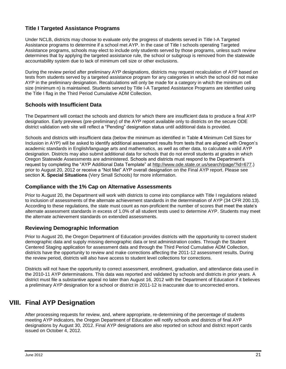## **Title I Targeted Assistance Programs**

Under NCLB, districts may choose to evaluate only the progress of students served in Title I-A Targeted Assistance programs to determine if a school met AYP. In the case of Title I schools operating Targeted Assistance programs, schools may elect to include only students served by those programs, unless such review determines that by applying the targeted assistance rule, the school or subgroup is removed from the statewide accountability system due to lack of minimum cell size or other exclusions.

During the review period after preliminary AYP designations, districts may request recalculation of AYP based on tests from students served by a targeted assistance program for any categories in which the school did not make AYP in the preliminary designation. Recalculations will only be made for a category in which the minimum cell size (minimum n) is maintained. Students served by Title I-A Targeted Assistance Programs are identified using the Title I flag in the Third Period Cumulative ADM Collection.

#### <span id="page-25-0"></span>**Schools with Insufficient Data**

The Department will contact the schools and districts for which there are insufficient data to produce a final AYP designation. Early previews (pre-preliminary) of the AYP report available only to districts on the secure ODE district validation web site will reflect a "Pending" designation status until additional data is provided.

Schools and districts with insufficient data (below the minimum as identified in [Table](#page-16-1) **4** Minimum Cell Sizes for Inclusion in AYP) will be asked to identify additional assessment results from tests that are aligned with Oregon's academic standards in English/language arts and mathematics, as well as other data, to calculate a valid AYP designation. Districts may also submit additional data for schools that do not enroll students at grades in which Oregon Statewide Assessments are administered. Schools and districts must respond to the Department's request by completing the "AYP Additional Data Template" at [http://www.ode.state.or.us/search/page/?id=677.](http://www.ode.state.or.us/search/page/?id=677)) prior to August 20, 2012 or receive a "Not Met" AYP overall designation on the Final AYP report. Please see section **[X. Special Situations](#page-27-1)** (Very Small Schools) for more information.

#### <span id="page-25-1"></span>**Compliance with the 1% Cap on Alternative Assessments**

Prior to August 20, the Department will work with districts to come into compliance with Title I regulations related to inclusion of assessments of the alternate achievement standards in the determination of AYP (34 CFR 200.13). According to these regulations, the state must count as non-proficient the number of scores that meet the state's alternate assessment standards in excess of 1.0% of all student tests used to determine AYP. Students may meet the alternate achievement standards on extended assessments.

#### <span id="page-25-2"></span>**Reviewing Demographic Information**

Prior to August 20, the Oregon Department of Education provides districts with the opportunity to correct student demographic data and supply missing demographic data or test administration codes. Through the Student Centered Staging application for assessment data and through the Third Period Cumulative ADM Collection, districts have the opportunity to review and make corrections affecting the 2011-12 assessment results. During the review period, districts will also have access to student level collections for corrections.

Districts will not have the opportunity to correct assessment, enrollment, graduation, and attendance data used in the 2010-11 AYP determinations. This data was reported and validated by schools and districts in prior years. A district must file a substantive appeal no later than August 16, 2012 with the Department of Education if it believes a preliminary AYP designation for a school or district in 2011-12 is inaccurate due to uncorrected errors.

## <span id="page-25-3"></span>**VIII. Final AYP Designation**

After processing requests for review, and, where appropriate, re-determining of the percentage of students meeting AYP indicators, the Oregon Department of Education will notify schools and districts of final AYP designations by August 30, 2012. Final AYP designations are also reported on school and district report cards issued on October 4, 2012.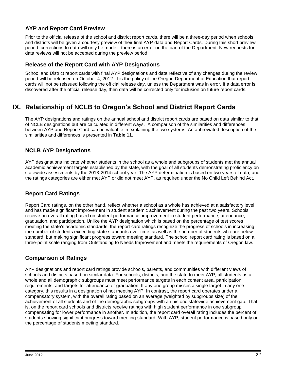## <span id="page-26-0"></span>**AYP and Report Card Preview**

Prior to the official release of the school and district report cards, there will be a three-day period when schools and districts will be given a courtesy preview of their final AYP data and Report Cards. During this short preview period, corrections to data will only be made if there is an error on the part of the Department. New requests for data reviews will not be accepted during the preview period.

## <span id="page-26-1"></span>**Release of the Report Card with AYP Designations**

School and District report cards with final AYP designations and data reflective of any changes during the review period will be released on October 4, 2012. It is the policy of the Oregon Department of Education that report cards will not be reissued following the official release day, unless the Department was in error. If a data error is discovered after the official release day, then data will be corrected only for inclusion on future report cards.

# <span id="page-26-2"></span>**IX. Relationship of NCLB to Oregon's School and District Report Cards**

The AYP designations and ratings on the annual school and district report cards are based on data similar to that of NCLB designations but are calculated in different ways. A comparison of the similarities and differences between AYP and Report Card can be valuable in explaining the two systems. An abbreviated description of the similarities and differences is presented in **[Table 11](#page-37-0)**.

## <span id="page-26-3"></span>**NCLB AYP Designations**

AYP designations indicate whether students in the school as a whole and subgroups of students met the annual academic achievement targets established by the state, with the goal of all students demonstrating proficiency on statewide assessments by the 2013-2014 school year. The AYP determination is based on two years of data, and the ratings categories are either met AYP or did not meet AYP, as required under the No Child Left Behind Act.

## <span id="page-26-4"></span>**Report Card Ratings**

Report Card ratings, on the other hand, reflect whether a school as a whole has achieved at a satisfactory level and has made significant improvement in student academic achievement during the past two years. Schools receive an overall rating based on student performance, improvement in student performance, attendance, graduation, and participation. Unlike the AYP designation which is based on the percentage of test scores meeting the state's academic standards, the report card ratings recognize the progress of schools in increasing the number of students exceeding state standards over time, as well as the number of students who are below standard, but making significant progress toward meeting standard. The school report card rating is based on a three-point scale ranging from Outstanding to Needs Improvement and meets the requirements of Oregon law.

## <span id="page-26-5"></span>**Comparison of Ratings**

AYP designations and report card ratings provide schools, parents, and communities with different views of schools and districts based on similar data. For schools, districts, and the state to meet AYP, all students as a whole and all demographic subgroups must meet performance targets in each content area, participation requirements, and targets for attendance or graduation. If any one group misses a single target in any one category, this results in a designation of not meeting AYP. In contrast, the report card operates under a compensatory system, with the overall rating based on an average (weighted by subgroups size) of the achievement of all students and of the demographic subgroups with an historic statewide achievement gap. That is, on the report card schools and districts receive ratings with high student performance in one subgroup compensating for lower performance in another. In addition, the report card overall rating includes the percent of students showing significant progress toward meeting standard. With AYP, student performance is based only on the percentage of students meeting standard.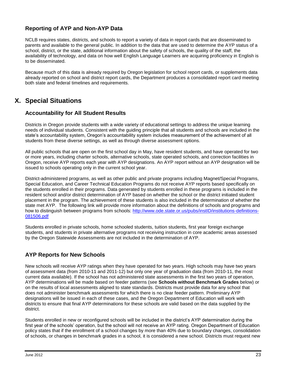## <span id="page-27-0"></span>**Reporting of AYP and Non-AYP Data**

NCLB requires states, districts, and schools to report a variety of data in report cards that are disseminated to parents and available to the general public. In addition to the data that are used to determine the AYP status of a school, district, or the state, additional information about the safety of schools, the quality of the staff, the availability of technology, and data on how well English Language Learners are acquiring proficiency in English is to be disseminated.

Because much of this data is already required by Oregon legislation for school report cards, or supplements data already reported on school and district report cards, the Department produces a consolidated report card meeting both state and federal timelines and requirements.

## <span id="page-27-1"></span>**X. Special Situations**

#### <span id="page-27-2"></span>**Accountability for All Student Results**

Districts in Oregon provide students with a wide variety of educational settings to address the unique learning needs of individual students. Consistent with the guiding principle that all students and schools are included in the state's accountability system, Oregon's accountability system includes measurement of the achievement of all students from these diverse settings, as well as through diverse assessment options.

All public schools that are open on the first school day in May, have resident students, and have operated for two or more years, including charter schools, alternative schools, state operated schools, and correction facilities in Oregon, receive AYP reports each year with AYP designations. An AYP report without an AYP designation will be issued to schools operating only in the current school year.

District-administered programs, as well as other public and private programs including Magnet/Special Programs, Special Education, and Career Technical Education Programs do not receive AYP reports based specifically on the students enrolled in their programs. Data generated by students enrolled in these programs is included in the resident school and/or district determination of AYP based on whether the school or the district initiated student placement in the program. The achievement of these students is also included in the determination of whether the state met AYP. The following link will provide more information about the definitions of schools and programs and how to distinguish between programs from schools: [http://www.ode.state.or.us/pubs/instID/institutions-definitions-](http://www.ode.state.or.us/pubs/instID/institutions-definitions-081506.pdf)[081506.pdf](http://www.ode.state.or.us/pubs/instID/institutions-definitions-081506.pdf)

Students enrolled in private schools, home schooled students, tuition students, first year foreign exchange students, and students in private alternative programs not receiving instruction in core academic areas assessed by the Oregon Statewide Assessments are not included in the determination of AYP.

## <span id="page-27-3"></span>**AYP Reports for New Schools**

New schools will receive AYP ratings when they have operated for two years. High schools may have two years of assessment data (from 2010-11 and 2011-12) but only one year of graduation data (from 2010-11, the most current data available). If the school has not administered state assessments in the first two years of operation, AYP determinations will be made based on feeder patterns (see **Schools without Benchmark Grades** below) or on the results of local assessments aligned to state standards. Districts must provide data for any school that does not administer benchmark assessments for which there is no clear feeder pattern. Preliminary AYP designations will be issued in each of these cases, and the Oregon Department of Education will work with districts to ensure that final AYP determinations for these schools are valid based on the data supplied by the district.

Students enrolled in new or reconfigured schools will be included in the district's AYP determination during the first year of the schools' operation, but the school will not receive an AYP rating. Oregon Department of Education policy states that if the enrollment of a school changes by more than 40% due to boundary changes, consolidation of schools, or changes in benchmark grades in a school, it is considered a new school. Districts must request new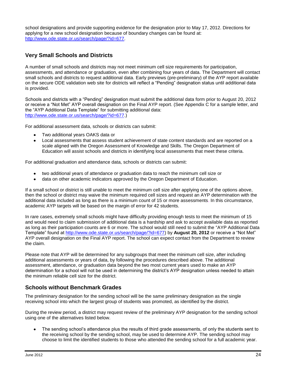school designations and provide supporting evidence for the designation prior to May 17, 2012. Directions for applying for a new school designation because of boundary changes can be found at: [http://www.ode.state.or.us/search/page/?id=677.](http://www.ode.state.or.us/search/page/?id=677)

## <span id="page-28-0"></span>**Very Small Schools and Districts**

A number of small schools and districts may not meet minimum cell size requirements for participation, assessments, and attendance or graduation, even after combining four years of data. The Department will contact small schools and districts to request additional data. Early previews (pre-preliminary) of the AYP report available on the secure ODE validation web site for districts will reflect a "Pending" designation status until additional data is provided.

Schools and districts with a "Pending" designation must submit the additional data form prior to August 20, 2012 or receive a "Not Met" AYP overall designation on the Final AYP report. (See Appendix C for a sample letter, and the "AYP Additional Data Template" for submitting additional data: [http://www.ode.state.or.us/search/page/?id=677.](http://www.ode.state.or.us/search/page/?id=677))

For additional assessment data, schools or districts can submit:

- Two additional years OAKS data or
- Local assessments that assess student achievement of state content standards and are reported on a  $\bullet$ scale aligned with the Oregon Assessment of Knowledge and Skills. The Oregon Department of Education will assist schools and districts in identifying local assessments that meet these criteria.

For additional graduation and attendance data, schools or districts can submit:

- two additional years of attendance or graduation data to reach the minimum cell size or
- data on other academic indicators approved by the Oregon Department of Education.

If a small school or district is still unable to meet the minimum cell size after applying one of the options above, then the school or district may waive the minimum required cell sizes and request an AYP determination with the additional data included as long as there is a minimum count of 15 or more assessments. In this circumstance, academic AYP targets will be based on the margin of error for 42 students.

In rare cases, extremely small schools might have difficulty providing enough tests to meet the minimum of 15 and would need to claim submission of additional data is a hardship and ask to accept available data as reported as long as their participation counts are 6 or more. The school would still need to submit the "AYP Additional Data Template" found at [http://www.ode.state.or.us/search/page/?id=677\)](http://www.ode.state.or.us/search/page/?id=677) by **August 20, 2012** or receive a "Not Met" AYP overall designation on the Final AYP report. The school can expect contact from the Department to review the claim.

Please note that AYP will be determined for any subgroups that meet the minimum cell size, after including additional assessments or years of data, by following the procedures described above. The additional assessment, attendance, or graduation data beyond the two most current years used to make an AYP determination for a school will not be used in determining the district's AYP designation unless needed to attain the minimum reliable cell size for the district.

## <span id="page-28-1"></span>**Schools without Benchmark Grades**

The preliminary designation for the sending school will be the same preliminary designation as the single receiving school into which the largest group of students was promoted, as identified by the district.

During the review period, a district may request review of the preliminary AYP designation for the sending school using one of the alternatives listed below.

The sending school's attendance plus the results of third grade assessments, of only the students sent to the receiving school by the sending school, may be used to determine AYP. The sending school may choose to limit the identified students to those who attended the sending school for a full academic year.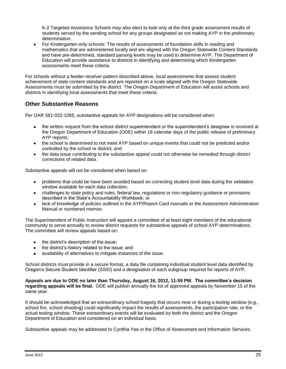K-2 Targeted Assistance Schools may also elect to look only at the third grade assessment results of students served by the sending school for any groups designated as not making AYP in the preliminary determination.

For Kindergarten-only schools: The results of assessments of foundation skills in reading and mathematics that are administered locally and are aligned with the Oregon Statewide Content Standards and have pre-determined, standard passing levels may be used to determine AYP. The Department of Education will provide assistance to districts in identifying and determining which Kindergarten assessments meet these criteria.

For schools without a feeder-receiver pattern described above, local assessments that assess student achievement of state content standards and are reported on a scale aligned with the Oregon Statewide Assessments must be submitted by the district. The Oregon Department of Education will assist schools and districts in identifying local assessments that meet these criteria.

## <span id="page-29-0"></span>**Other Substantive Reasons**

Per OAR 581-022-1065, substantive appeals for AYP designations will be considered when:

- the written request from the school district superintendent or the superintendent's designee is received at the Oregon Department of Education (ODE) within 18 calendar days of the public release of preliminary AYP reports;
- the school is determined to not meet AYP based on unique events that could not be predicted and/or controlled by the school or district; and
- the data issue contributing to the substantive appeal could not otherwise be remedied through district corrections of related data.

Substantive appeals will not be considered when based on:

- problems that could be have been avoided based on correcting student level data during the validation window available for each data collection;
- challenges to state policy and rules, federal law, regulations or non-regulatory guidance or provisions described in the State's Accountability Workbook; or
- lack of knowledge of policies outlined in the AYP/Report Card manuals or the Assessment Administration Manual or numbered memos.

The Superintendent of Public Instruction will appoint a committee of at least eight members of the educational community to serve annually to review district requests for substantive appeals of school AYP determinations. The committee will review appeals based on:

- the district's description of the issue;
- the district's history related to the issue; and
- availability of alternatives to mitigate instances of the issue.

School districts must provide in a secure format, a data file containing individual student level data identified by Oregon's Secure Student Identifier (SSID) and a designation of each subgroup required for reports of AYP.

**Appeals are due to ODE no later than Thursday, August 16, 2012, 11:59 PM. The committee's decision regarding appeals will be final.** ODE will publish annually the list of approved appeals by November 15 of the same year.

It should be acknowledged that an extraordinary school tragedy that occurs near or during a testing window (e.g., school fire, school shooting) could significantly impact the results of assessments, the participation rate, or the actual testing window. These extraordinary events will be evaluated by both the district and the Oregon Department of Education and considered on an individual basis.

Substantive appeals may be addressed to Cynthia Yee in the Office of Assessment and Information Services.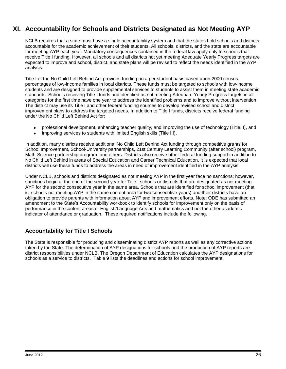# <span id="page-30-0"></span>**XI. Accountability for Schools and Districts Designated as Not Meeting AYP**

NCLB requires that a state must have a single accountability system and that the states hold schools and districts accountable for the academic achievement of their students. All schools, districts, and the state are accountable for meeting AYP each year. Mandatory consequences contained in the federal law apply only to schools that receive Title I funding. However, all schools and all districts not yet meeting Adequate Yearly Progress targets are expected to improve and school, district, and state plans will be revised to reflect the needs identified in the AYP analysis.

Title I of the No Child Left Behind Act provides funding on a per student basis based upon 2000 census percentages of low-income families in local districts. These funds must be targeted to schools with low-income students and are designed to provide supplemental services to students to assist them in meeting state academic standards. Schools receiving Title I funds and identified as not meeting Adequate Yearly Progress targets in all categories for the first time have one year to address the identified problems and to improve without intervention. The district may use its Title I and other federal funding sources to develop revised school and district improvement plans to address the targeted needs. In addition to Title I funds, districts receive federal funding under the No Child Left Behind Act for:

- professional development, enhancing teacher quality, and improving the use of technology (Title II), and
- improving services to students with limited English skills (Title III).

In addition, many districts receive additional No Child Left Behind Act funding through competitive grants for School Improvement, School-University partnerships, 21st Century Learning Community (after school) program, Math-Science partnership program, and others. Districts also receive other federal funding support in addition to No Child Left Behind in areas of Special Education and Career Technical Education. It is expected that local districts will use these funds to address the areas in need of improvement identified in the AYP analysis.

Under NCLB, schools and districts designated as not meeting AYP in the first year face no sanctions; however, sanctions begin at the end of the second year for Title I schools or districts that are designated as not meeting AYP for the second consecutive year in the same area. Schools that are identified for school improvement (that is, schools not meeting AYP in the same content area for two consecutive years) and their districts have an obligation to provide parents with information about AYP and improvement efforts. Note: ODE has submitted an amendment to the State's Accountability workbook to identify schools for improvement only on the basis of performance in the content areas of English/Language Arts and mathematics and not the other academic indicator of attendance or graduation. These required notifications include the following.

## <span id="page-30-1"></span>**Accountability for Title I Schools**

The State is responsible for producing and disseminating district AYP reports as well as any corrective actions taken by the State. The determination of AYP designations for schools and the production of AYP reports are district responsibilities under NCLB. The Oregon Department of Education calculates the AYP designations for schools as a service to districts. [Table](#page-31-0) **9** lists the deadlines and actions for school improvement.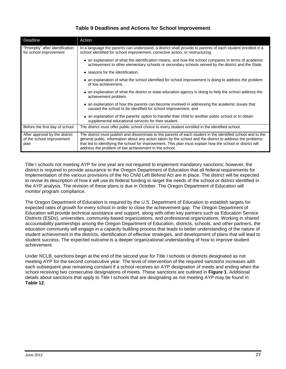## **Table 9 Deadlines and Actions for School Improvement**

<span id="page-31-0"></span>

| Deadline                                                            | Action                                                                                                                                                                                                                                                                                                                                                                                           |
|---------------------------------------------------------------------|--------------------------------------------------------------------------------------------------------------------------------------------------------------------------------------------------------------------------------------------------------------------------------------------------------------------------------------------------------------------------------------------------|
| "Promptly" after identification<br>for school improvement           | In a language the parents can understand, a district shall provide to parents of each student enrolled in a<br>school identified for school improvement, corrective action, or restructuring:                                                                                                                                                                                                    |
|                                                                     | • an explanation of what the identification means, and how the school compares in terms of academic<br>achievement to other elementary schools or secondary schools served by the district and the State,                                                                                                                                                                                        |
|                                                                     | • reasons for the identification,                                                                                                                                                                                                                                                                                                                                                                |
|                                                                     | • an explanation of what the school identified for school improvement is doing to address the problem<br>of low achievement,                                                                                                                                                                                                                                                                     |
|                                                                     | • an explanation of what the district or state education agency is doing to help the school address the<br>achievement problem,                                                                                                                                                                                                                                                                  |
|                                                                     | • an explanation of how the parents can become involved in addressing the academic issues that<br>caused the school to be identified for school improvement, and                                                                                                                                                                                                                                 |
|                                                                     | • an explanation of the parents' option to transfer their child to another public school or to obtain<br>supplemental educational services for their student.                                                                                                                                                                                                                                    |
| Before the first day of school                                      | The district must offer public school choice to every student enrolled in the identified school.                                                                                                                                                                                                                                                                                                 |
| After approval by the district<br>of the school improvement<br>plan | The district must publish and disseminate to the parents of each student in the identified school and to the<br>general public, information about any action taken by the school and the district to address the problems<br>that led to identifying the school for improvement. This plan must explain how the school or district will<br>address the problem of low achievement in the school. |

Title I schools not meeting AYP for one year are not required to implement mandatory sanctions; however, the district is required to provide assurance to the Oregon Department of Education that all federal requirements for implementation of the various provisions of the No Child Left Behind Act are in place. The district will be expected to revise its description of how it will use its federal funding to target the needs of the school or district identified in the AYP analysis. The revision of these plans is due in October. The Oregon Department of Education will monitor program compliance.

The Oregon Department of Education is required by the U.S. Department of Education to establish targets for expected rates of growth for every school in order to close the achievement gap. The Oregon Department of Education will provide technical assistance and support, along with other key partners such as Education Service Districts (ESDs), universities, community-based organizations, and professional organizations. Working in shared accountability partnerships among the Oregon Department of Education, districts, schools, and other partners, the education community will engage in a capacity building process that leads to better understanding of the nature of student achievement in the districts, identification of effective strategies, and development of plans that will lead to student success. The expected outcome is a deeper organizational understanding of how to improve student achievement.

Under NCLB, sanctions begin at the end of the second year for Title I schools or districts designated as not meeting AYP for the second consecutive year. The level of intervention of the required sanctions increases with each subsequent year remaining constant if a school receives an AYP designation of meets and ending when the school receiving two consecutive designations of meets. These sanctions are outlined in **[Figure 1](#page-32-0)**. Additional details about sanctions that apply to Title I schools that are designating as not meeting AYP may be found in **[Table 12](#page-39-0)**.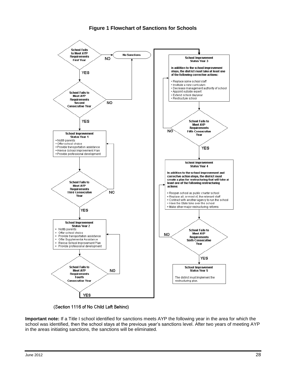## **Figure 1 Flowchart of Sanctions for Schools**

<span id="page-32-0"></span>

(Section 1116 of No Child Left Behind)

**Important note:** If a Title I school identified for sanctions meets AYP the following year in the area for which the school was identified, then the school stays at the previous year's sanctions level. After two years of meeting AYP in the areas initiating sanctions, the sanctions will be eliminated.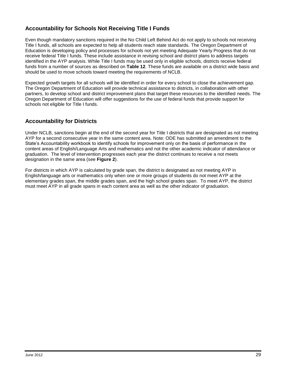## <span id="page-33-0"></span>**Accountability for Schools Not Receiving Title I Funds**

Even though mandatory sanctions required in the No Child Left Behind Act do not apply to schools not receiving Title I funds, all schools are expected to help all students reach state standards. The Oregon Department of Education is developing policy and processes for schools not yet meeting Adequate Yearly Progress that do not receive federal Title I funds. These include assistance in revising school and district plans to address targets identified in the AYP analysis. While Title I funds may be used only in eligible schools, districts receive federal funds from a number of sources as described on **[Table 12](#page-39-0)**. These funds are available on a district wide basis and should be used to move schools toward meeting the requirements of NCLB.

Expected growth targets for all schools will be identified in order for every school to close the achievement gap. The Oregon Department of Education will provide technical assistance to districts, in collaboration with other partners, to develop school and district improvement plans that target these resources to the identified needs. The Oregon Department of Education will offer suggestions for the use of federal funds that provide support for schools not eligible for Title I funds.

## <span id="page-33-1"></span>**Accountability for Districts**

Under NCLB, sanctions begin at the end of the second year for Title I districts that are designated as not meeting AYP for a second consecutive year in the same content area. Note: ODE has submitted an amendment to the State's Accountability workbook to identify schools for improvement only on the basis of performance in the content areas of English/Language Arts and mathematics and not the other academic indicator of attendance or graduation. The level of intervention progresses each year the district continues to receive a not meets designation in the same area (see **[Figure 2](#page-34-0)**).

For districts in which AYP is calculated by grade span, the district is designated as not meeting AYP in English/language arts or mathematics only when one or more groups of students do not meet AYP at the elementary grades span, the middle grades span, and the high school grades span. To meet AYP, the district must meet AYP in all grade spans in each content area as well as the other indicator of graduation.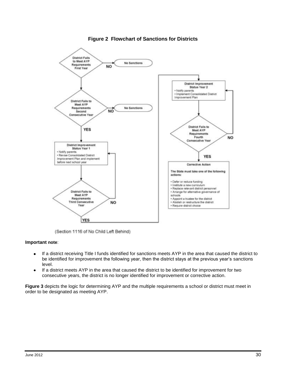<span id="page-34-0"></span>

#### **Figure 2 Flowchart of Sanctions for Districts**

(Section 1116 of No Child Left Behind)

#### **Important note**:

- If a district receiving Title I funds identified for sanctions meets AYP in the area that caused the district to  $\bullet$ be identified for improvement the following year, then the district stays at the previous year's sanctions level.
- If a district meets AYP in the area that caused the district to be identified for improvement for two  $\bullet$ consecutive years, the district is no longer identified for improvement or corrective action.

**[Figure 3](#page-35-0)** depicts the logic for determining AYP and the multiple requirements a school or district must meet in order to be designated as meeting AYP.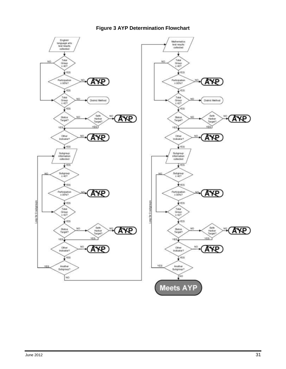<span id="page-35-0"></span>

## **Figure 3 AYP Determination Flowchart**

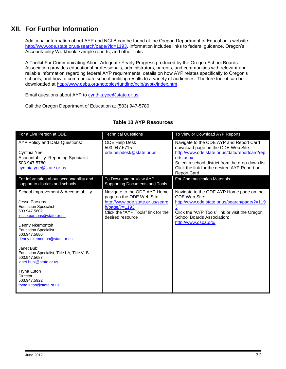# <span id="page-36-0"></span>**XII. For Further Information**

Additional information about AYP and NCLB can be found at the Oregon Department of Education's website: [http://www.ode.state.or.us/search/page/?id=1193.](http://www.ode.state.or.us/search/page/?id=1193) Information includes links to federal guidance, Oregon's Accountability Workbook, sample reports, and other links.

A Toolkit For Communicating About Adequate Yearly Progress produced by the Oregon School Boards Association provides educational professionals, administrators, parents, and communities with relevant and reliable information regarding federal AYP requirements, details on how AYP relates specifically to Oregon's schools, and how to communicate school building results to a variety of audiences. The free toolkit can be downloaded at [http://www.osba.org/hotopics/funding/nclb/ayptk/index.htm.](http://www.osba.org/hotopics/funding/nclb/ayptk/index.htm)

Email questions about AYP to [cynthia.yee@state.or.us.](mailto:cynthia.yee@state.or.us)

Call the Oregon Department of Education at (503) 947-5780.

<span id="page-36-1"></span>

| For a Live Person at ODE                                                                                                                                                                                                                                                                                                                                                                                                     | <b>Technical Questions</b>                                                                                                                                                  | To View or Download AYP Reports                                                                                                                                                                                                                                        |
|------------------------------------------------------------------------------------------------------------------------------------------------------------------------------------------------------------------------------------------------------------------------------------------------------------------------------------------------------------------------------------------------------------------------------|-----------------------------------------------------------------------------------------------------------------------------------------------------------------------------|------------------------------------------------------------------------------------------------------------------------------------------------------------------------------------------------------------------------------------------------------------------------|
| AYP Policy and Data Questions:<br>Cynthia Yee<br><b>Accountability Reporting Specialist</b><br>503.947.5780<br>cynthia.yee@state.or.us                                                                                                                                                                                                                                                                                       | <b>ODE Help Desk</b><br>503.947.5715<br>ode.helpdesk@state.or.us                                                                                                            | Navigate to the ODE AYP and Report Card<br>download page on the ODE Web Site:<br>http://www.ode.state.or.us/data/reportcard/rep<br>orts.aspx<br>Select a school district from the drop-down list<br>Click the link for the desired AYP Report or<br><b>Report Card</b> |
| For information about accountability and<br>support to districts and schools                                                                                                                                                                                                                                                                                                                                                 | To Download or View AYP<br>Supporting Documents and Tools                                                                                                                   | <b>For Communication Materials</b>                                                                                                                                                                                                                                     |
| School Improvement & Accountability<br>Jesse Parsons<br><b>Education Specialist</b><br>503.947.5602<br>jesse.parsons@state.or.us<br>Denny Nkemontoh<br><b>Education Specialist</b><br>503.947.5880<br>denny.nkemontoh@state.or.us<br>Janet Bubl<br>Education Specialist, Title I-A, Title VI-B<br>503.947.5687<br>janet.bubl@state.or.us<br><b>Tryna Luton</b><br><b>Director</b><br>503.947.5922<br>tryna.luton@state.or.us | Navigate to the ODE AYP Home<br>page on the ODE Web Site:<br>http://www.ode.state.or.us/searc<br>$h$ /page/?=1193<br>Click the "AYP Tools" link for the<br>desired resource | Navigate to the ODE AYP Home page on the<br><b>ODE Web Site:</b><br>http://www.ode.state.or.us/search/page/?=119<br>3<br>Click the "AYP Tools" link or visit the Oregon<br>School Boards Association:<br>http://www.osba.org/                                          |

#### **Table 10 AYP Resources**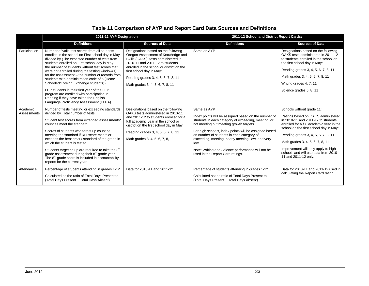## **Table 11 Comparison of AYP and Report Card Data Sources and Definitions**

<span id="page-37-0"></span>

|                         | 2011-12 AYP Designation                                                                                                                                                                                                                                                                                                                                                                                                                                                                                                                                                                                                                 |                                                                                                                                                                                                                                                                                                         | 2011-12 School and District Report Cards:                                                                                                                                                                                                                                                                                                                                                                                         |                                                                                                                                                                                                                                                                                                                                                                               |  |
|-------------------------|-----------------------------------------------------------------------------------------------------------------------------------------------------------------------------------------------------------------------------------------------------------------------------------------------------------------------------------------------------------------------------------------------------------------------------------------------------------------------------------------------------------------------------------------------------------------------------------------------------------------------------------------|---------------------------------------------------------------------------------------------------------------------------------------------------------------------------------------------------------------------------------------------------------------------------------------------------------|-----------------------------------------------------------------------------------------------------------------------------------------------------------------------------------------------------------------------------------------------------------------------------------------------------------------------------------------------------------------------------------------------------------------------------------|-------------------------------------------------------------------------------------------------------------------------------------------------------------------------------------------------------------------------------------------------------------------------------------------------------------------------------------------------------------------------------|--|
|                         | <b>Definitions</b>                                                                                                                                                                                                                                                                                                                                                                                                                                                                                                                                                                                                                      | <b>Sources of Data</b>                                                                                                                                                                                                                                                                                  | <b>Definitions</b>                                                                                                                                                                                                                                                                                                                                                                                                                | <b>Sources of Data</b>                                                                                                                                                                                                                                                                                                                                                        |  |
| Participation           | Number of valid test scores from all students<br>enrolled in the school on First school day in May<br>divided by (The expected number of tests from<br>students enrolled on First school day in May -<br>the number of students without test scores that<br>were not enrolled during the testing window(s)<br>for the assessment – the number of records from<br>students with administration code of 6 (Home<br>Schooled/Foreign Exchange students))<br>LEP students in their first year of the LEP<br>program are credited with participation in<br>Reading if they have taken the English<br>Language Proficiency Assessment (ELPA). | Designations based on the following<br>Oregon Assessment of Knowledge and<br>Skills (OAKS) tests administered in<br>2010-11 and 2011-12 to students<br>enrolled in the school or district on the<br>first school day in May:<br>Reading grades 3, 4, 5, 6, 7, 8, 11<br>Math grades 3, 4, 5, 6, 7, 8, 11 | Same as AYP                                                                                                                                                                                                                                                                                                                                                                                                                       | Designations based on the following<br>OAKS tests administered in 2011-12<br>to students enrolled in the school on<br>the first school day in May:<br>Reading grades 3, 4, 5, 6, 7, 8, 11<br>Math grades 3, 4, 5, 6, 7, 8, 11<br>Writing grades 4, 7, 11<br>Science grades 5, 8, 11                                                                                           |  |
| Academic<br>Assessments | Number of tests meeting or exceeding standards<br>divided by Total number of tests<br>Student test scores from extended assessments*<br>count as meet the standard.<br>Scores of students who target up count as<br>meeting the standard if RIT score meets or<br>exceeds the benchmark standard of the grade in<br>which the student is tested.<br>Students targeting up are required to take the 8 <sup>th</sup><br>grade assessment during their $8th$ grade year.<br>The 8 <sup>th</sup> grade score is included in accountability<br>reports for the current year.                                                                 | Designations based on the following<br>OAKS tests administered in 2010-11<br>and 2011-12 to students enrolled for a<br>full academic year in the school or<br>district on the first school day in May:<br>Reading grades 3, 4, 5, 6, 7, 8, 11<br>Math grades 3, 4, 5, 6, 7, 8, 11                       | Same as AYP<br>Index points will be assigned based on the number of<br>students in each category of exceeding, meeting, or<br>not meeting but meeting growth targets.<br>For high schools, index points will be assigned based<br>on number of students in each category of<br>exceeding, meeting, nearly meeting, low, and very<br>low.<br>Note: Writing and Science performance will not be<br>used in the Report Card ratings. | Schools without grade 11:<br>Ratings based on OAKS administered<br>in 2010-11 and 2011-12 to students<br>enrolled for a full academic year in the<br>school on the first school day in May:<br>Reading grades 3, 4, 5, 6, 7, 8, 11<br>Math grades 3, 4, 5, 6, 7, 8, 11<br>Improvement will only apply to high<br>schools and will use data from 2010-<br>11 and 2011-12 only. |  |
| Attendance              | Percentage of students attending in grades 1-12<br>Calculated as the ratio of Total Days Present to<br>(Total Days Present + Total Days Absent)                                                                                                                                                                                                                                                                                                                                                                                                                                                                                         | Data for 2010-11 and 2011-12                                                                                                                                                                                                                                                                            | Percentage of students attending in grades 1-12<br>Calculated as the ratio of Total Days Present to<br>(Total Days Present + Total Days Absent)                                                                                                                                                                                                                                                                                   | Data for 2010-11 and 2011-12 used in<br>calculating the Report Card rating.                                                                                                                                                                                                                                                                                                   |  |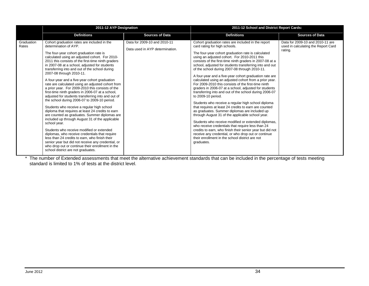|                     | 2011-12 AYP Designation                                                                                                                                                                                                                                                                                                                                                                                                                                                                                                                                                                                                                                                                                                                                                                                                                                                                                                                                                                                                                                                                                                                                                                            |                                                                 | 2011-12 School and District Report Cards:                                                                                                                                                                                                                                                                                                                                                                                                                                                                                                                                                                                                                                                                                                                                                                                                                                                                                                                                                                                                                                                                                                                                                                  |                                                                                    |  |
|---------------------|----------------------------------------------------------------------------------------------------------------------------------------------------------------------------------------------------------------------------------------------------------------------------------------------------------------------------------------------------------------------------------------------------------------------------------------------------------------------------------------------------------------------------------------------------------------------------------------------------------------------------------------------------------------------------------------------------------------------------------------------------------------------------------------------------------------------------------------------------------------------------------------------------------------------------------------------------------------------------------------------------------------------------------------------------------------------------------------------------------------------------------------------------------------------------------------------------|-----------------------------------------------------------------|------------------------------------------------------------------------------------------------------------------------------------------------------------------------------------------------------------------------------------------------------------------------------------------------------------------------------------------------------------------------------------------------------------------------------------------------------------------------------------------------------------------------------------------------------------------------------------------------------------------------------------------------------------------------------------------------------------------------------------------------------------------------------------------------------------------------------------------------------------------------------------------------------------------------------------------------------------------------------------------------------------------------------------------------------------------------------------------------------------------------------------------------------------------------------------------------------------|------------------------------------------------------------------------------------|--|
|                     | <b>Definitions</b>                                                                                                                                                                                                                                                                                                                                                                                                                                                                                                                                                                                                                                                                                                                                                                                                                                                                                                                                                                                                                                                                                                                                                                                 | <b>Sources of Data</b>                                          | <b>Definitions</b>                                                                                                                                                                                                                                                                                                                                                                                                                                                                                                                                                                                                                                                                                                                                                                                                                                                                                                                                                                                                                                                                                                                                                                                         | <b>Sources of Data</b>                                                             |  |
| Graduation<br>Rates | Cohort graduation rates are included in the<br>determination of AYP.<br>The four-year cohort graduation rate is<br>calculated using an adjusted cohort. For 2010-<br>2011 this consists of the first-time ninth graders<br>in 2007-08 at a school, adjusted for students<br>transferring into and out of the school during<br>2007-08 through 2010-11.<br>A four-year and a five-year cohort graduation<br>rate are calculated using an adjusted cohort from<br>a prior year. For 2009-2010 this consists of the<br>first-time ninth graders in 2006-07 at a school,<br>adjusted for students transferring into and out of<br>the school during 2006-07 to 2009-10 period.<br>Students who receive a regular high school<br>diploma that requires at least 24 credits to earn<br>are counted as graduates. Summer diplomas are<br>included up through August 31 of the applicable<br>school year.<br>Students who receive modified or extended<br>diplomas, who receive credentials that require<br>less than 24 credits to earn, who finish their<br>senior year but did not receive any credential, or<br>who drop out or continue their enrollment in the<br>school district are not graduates. | Data for 2009-10 and 2010-11<br>Data used in AYP determination. | Cohort graduation rates are included in the report<br>card rating for high schools.<br>The four-year cohort graduation rate is calculated<br>using an adjusted cohort. For 2010-2011 this<br>consists of the first-time ninth graders in 2007-08 at a<br>school, adjusted for students transferring into and out<br>of the school during 2007-08 through 2010-11.<br>A four-year and a five-year cohort graduation rate are<br>calculated using an adjusted cohort from a prior year.<br>For 2009-2010 this consists of the first-time ninth<br>graders in 2006-07 at a school, adjusted for students<br>transferring into and out of the school during 2006-07<br>to 2009-10 period.<br>Students who receive a regular high school diploma<br>that requires at least 24 credits to earn are counted<br>as graduates. Summer diplomas are included up<br>through August 31 of the applicable school year.<br>Students who receive modified or extended diplomas,<br>who receive credentials that require less than 24<br>credits to earn, who finish their senior year but did not<br>receive any credential, or who drop out or continue<br>their enrollment in the school district are not<br>graduates. | Data for 2009-10 and 2010-11 are<br>used in calculating the Report Card<br>rating. |  |

\* The number of Extended assessments that meet the alternative achievement standards that can be included in the percentage of tests meeting standard is limited to 1% of tests at the district level.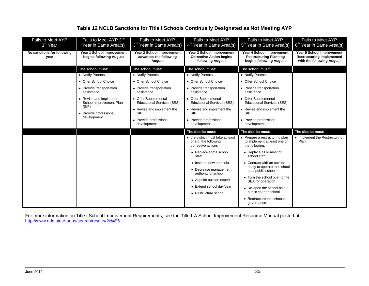<span id="page-39-0"></span>

| Fails to Meet AYP<br>1 <sup>st</sup> Year | Fails to Meet AYP 2 <sup>nd</sup><br>Year in Same Area(s) | Fails to Meet AYP<br>3 <sup>rd</sup> Year in Same Area(s)     | <b>Fails to Meet AYP</b><br>4 <sup>th</sup> Year in Same Area(s)                 | <b>Fails to Meet AYP</b><br>5 <sup>th</sup> Year in Same Area(s)                      | Fails to Meet AYP<br>6 <sup>th</sup> Year in Same Area(s)                                  |
|-------------------------------------------|-----------------------------------------------------------|---------------------------------------------------------------|----------------------------------------------------------------------------------|---------------------------------------------------------------------------------------|--------------------------------------------------------------------------------------------|
| No sanctions for following<br>year        | Year 1 School Improvement<br>begins following August      | Year 2 School Improvement<br>advances the following<br>August | Year 3 School Improvement<br><b>Corrective Action begins</b><br>following August | Year 4 School Improvement<br><b>Restructuring Planning</b><br>begins following August | Year 5 School Improvement<br><b>Restructuring Implemented</b><br>with the following August |
|                                           | The school must:<br>• Notify Parents                      | The school must:<br>• Notify Parents                          | The school must:<br>• Notify Parents                                             | The school must:<br>• Notify Parents                                                  |                                                                                            |
|                                           | • Offer School Choice                                     | • Offer School Choice                                         | • Offer School Choice                                                            | • Offer School Choice                                                                 |                                                                                            |
|                                           | • Provide transportation<br>assistance                    | • Provide transportation<br>assistance                        | • Provide transportation<br>assistance                                           | • Provide transportation<br>assistance                                                |                                                                                            |
|                                           | • Revise and implement<br>School Improvement Plan         | • Offer Supplemental<br><b>Educational Services (SES)</b>     | • Offer Supplemental<br><b>Educational Services (SES)</b>                        | • Offer Supplemental<br><b>Educational Services (SES)</b>                             |                                                                                            |
|                                           | (SIP)<br>• Provide professional                           | • Revise and implement the<br><b>SIP</b>                      | • Revise and implement the<br><b>SIP</b>                                         | • Revise and implement the<br><b>SIP</b>                                              |                                                                                            |
| development                               |                                                           | • Provide professional<br>development                         | • Provide professional<br>development                                            | • Provide professional<br>development                                                 |                                                                                            |
|                                           |                                                           |                                                               | The district must:                                                               | The district must:                                                                    | The district must:                                                                         |
|                                           |                                                           |                                                               | • the district must take at least<br>one of the following<br>corrective actions  | • Prepare a restructuring plan<br>to implement at least one of<br>the following:      | • Implement the Restructuring<br>Plan                                                      |
|                                           |                                                           |                                                               | • Replace some school<br>staff                                                   | • Replace all or most of<br>school staff                                              |                                                                                            |
|                                           |                                                           |                                                               | • Institute new curricula<br>• Decrease management                               | • Contract with an outside<br>entity to operate the school<br>as a public school      |                                                                                            |
|                                           |                                                           |                                                               | authority of school<br>• Appoint outside expert                                  | • Turn the school over to the<br>SEA for operation                                    |                                                                                            |
|                                           |                                                           |                                                               | • Extend school day/year<br>• Restructure school                                 | • Re-open the school as a<br>public charter school                                    |                                                                                            |
|                                           |                                                           |                                                               |                                                                                  | • Restructure the school's<br>governance                                              |                                                                                            |

## **Table 12 NCLB Sanctions for Title I Schools Continually Designated as Not Meeting AYP**

For more information on Title I School Improvement Requirements, see the Title I-A School Improvement Resource Manual posted at: <http://www.ode.state.or.us/search/results/?id=95>.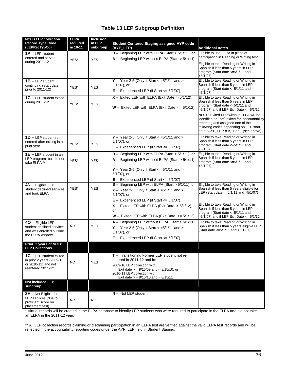## **Table 13 LEP Subgroup Definition**

<span id="page-40-0"></span>

| <b>NCLB LEP collection</b><br><b>Record Type Code</b><br>(LEPRecTypCd)                             | <b>ELPA</b><br>required<br>in 10-11 | <b>Inclusion</b><br>in LEP<br>subgroup | <b>Student Centered Staging assigned AYP code</b><br>(AYP_LEP)                                                                                                                                                                   | <b>Additional notes</b>                                                                                                                                                                                          |
|----------------------------------------------------------------------------------------------------|-------------------------------------|----------------------------------------|----------------------------------------------------------------------------------------------------------------------------------------------------------------------------------------------------------------------------------|------------------------------------------------------------------------------------------------------------------------------------------------------------------------------------------------------------------|
| $1A - LEP$ student<br>entered and served                                                           | YES*                                | <b>YES</b>                             | $B -$ Beginning LEP with ELPA (Start > 5/1/11), or<br>$A -$ Beginning LEP without ELPA (Start > $5/1/11$ )                                                                                                                       | Eligible to use ELPA in place of<br>participation in Reading or Writing test                                                                                                                                     |
| during 2011-12                                                                                     |                                     |                                        |                                                                                                                                                                                                                                  | Eligible to take Reading or Writing in<br>Spanish if less than 5 years in LEP<br>program (Start date <= 5/1/11 and<br>>5/1/07)                                                                                   |
| $1B - LEP$ student<br>continuing (Start date<br>prior to 2011-12)                                  | YES*                                | <b>YES</b>                             | Y - Year 2-5 (Only if Start $<$ =5/1/11 and ><br>$5/1/07$ ), or<br>$E -$ Experienced LEP (if Start $\lt = 5/1/07$ )                                                                                                              | Eligible to take Reading or Writing in<br>Spanish if less than 5 years in LEP<br>program (Start date <= 5/1/11 and<br>>5/1/07)                                                                                   |
| $1C - LEP$ student exited<br>during 2011-12                                                        | YES*                                | <b>YES</b>                             | $X -$ Exited LEP with ELPA (Exit Date $> 5/1/12$ ),<br>or<br>$W -$ Exited LEP with ELPA (Exit Date $\leq 5/1/12$ )                                                                                                               | Eligible to take Reading or Writing in<br>Spanish if less than 5 years in LEP<br>program (Start date <=5/1/11 and<br>>5/1/07) and if LEP Exit Date <= 5/1/12                                                     |
|                                                                                                    |                                     |                                        |                                                                                                                                                                                                                                  | NOTE: Exited LEP without ELPA will be<br>identified as "not" exited for accountability<br>reporting and assigned one of the<br>following codes depending on LEP start<br>date: $AYP$ LEP = A, Y or E (see above) |
| $1D - LEP$ student re-<br>entered after exiting in a<br>prior year                                 | YES*                                | <b>YES</b>                             | $Y -$ Year 2-5 (Only if Start < = 5/1/11 and ><br>$5/1/07$ ), or<br>$E -$ Experienced LEP (if Start $\lt = 5/1/07$ )                                                                                                             | Eligible to take Reading or Writing in<br>Spanish if less than 5 years in LEP<br>program (Start date <=5/1/11 and<br>>5/1/07                                                                                     |
| <b>1E</b> $-$ LEP student in an<br>LEP program but did not<br>take ELPA **                         | YES*                                | <b>YES</b>                             | $B -$ Beginning LEP with ELPA (Start > 5/1/11), or<br>$A -$ Beginning LEP without ELPA (Start > $5/1/11$ ),<br>or<br>$Y -$ Year 2-5 (Only if Start $\lt$ =5/1/11 and $\gt$<br>$5/1/07$ ), or                                     | Eligible to take Reading or Writing in<br>Spanish if less than 5 years in LEP<br>program (Start date <= 5/1/11 and<br>>5/1/07)                                                                                   |
|                                                                                                    |                                     |                                        | $E -$ Experienced LEP (if Start $\lt = 5/1/07$ )                                                                                                                                                                                 |                                                                                                                                                                                                                  |
| $4N -$ Eligible LEP<br>student declined services<br>and took ELPA                                  | YES*                                | <b>YES</b>                             | $B -$ Beginning LEP with ELPA (Start > 5/1/11), or<br>$Y -$ Year 2-5 (Only if Start $\lt$ =5/1/11 and $>$<br>5/1/07), or                                                                                                         | Eligible to take Reading or Writing in<br>Spanish if less than 5 years eligible for<br>LEP (Start date <= 5/1/11 and > 5/1/07)                                                                                   |
|                                                                                                    |                                     |                                        | $E -$ Experienced LEP (if Start <= 5/1/07)<br>$X -$ Exited LEP with ELPA (Exit Date $> 5/1/12$ ),<br>or<br>$W -$ Exited LEP with ELPA (Exit Date $\leq 5/1/12$ )                                                                 | Eligible to take Reading or Writing in<br>Spanish if less than 5 years in LEP<br>program (Start date <=5/1/11 and<br>>5/1/07) and if LEP Exit Date <= 5/1/12                                                     |
| $40$ - Eligible LEP<br>student declined services<br>and was enrolled outside<br>the ELPA window    | <b>NO</b>                           | <b>YES</b>                             | $A -$ Beginning LEP without ELPA (Start > 5/1/11)<br>Y - Year 2-5 (Only if Start $<$ =5/1/11 and ><br>$5/1/07$ ), or<br>$E -$ Experienced LEP (if Start $\lt = 5/1/07$ )                                                         | Eligible to take Reading or Writing in<br>Spanish if less than 5 years eligible LEP<br>(Start date <= 5/1/11 and > 5/1/07)                                                                                       |
| Prior 2 years of NCLB<br><b>LEP Collections</b>                                                    |                                     |                                        |                                                                                                                                                                                                                                  |                                                                                                                                                                                                                  |
| $1C - LEP$ student exited<br>in prior 2 years (2009-10<br>or 2010-11) and not<br>reentered 2011-12 | <b>NO</b>                           | <b>YES</b>                             | T - Transitioning Former LEP student not re-<br>entered in 2011-12 and in:<br>2009-10 LEP collection with<br>Exit date $>$ = 8/15/09 and $<$ 8/15/10, or<br>2010-11 LEP collection with<br>Exit date $>$ = 8/15/10 and < 8/15/11 |                                                                                                                                                                                                                  |
| Not included LEP<br>subgroup                                                                       |                                     |                                        |                                                                                                                                                                                                                                  |                                                                                                                                                                                                                  |
| $3H$ – Not Eligible for<br>LEP services (due to<br>proficient score on<br>placement test)          | <b>NO</b>                           | <b>NO</b>                              | $N -$ Not LEP student                                                                                                                                                                                                            |                                                                                                                                                                                                                  |

\* Virtual records will be created in the ELPA database to identify LEP students who were required to participate in the ELPA and did not take an ELPA in the 2011-12 year.

\*\* All LEP collection records claiming or disclaiming participation in an ELPA test are verified against the valid ELPA test records and will be reflected in the accountability reporting codes under the AYP\_LEP field in Student Staging.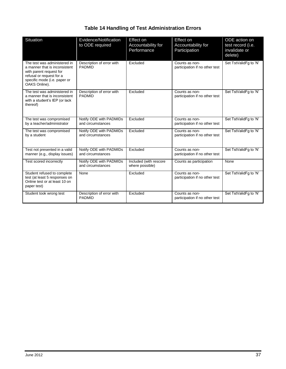## **Table 14 Handling of Test Administration Errors**

<span id="page-41-0"></span>

| <b>Situation</b>                                                                                                                                                      | Evidence/Notification<br>to ODE required     | Effect on<br>Accountability for<br>Performance | Effect on<br>Accountability for<br>Participation | ODE action on<br>test record (i.e.<br>invalidate or<br>delete) |
|-----------------------------------------------------------------------------------------------------------------------------------------------------------------------|----------------------------------------------|------------------------------------------------|--------------------------------------------------|----------------------------------------------------------------|
| The test was administered in<br>a manner that is inconsistent<br>with parent request for<br>refusal or request for a<br>specific mode (i.e. paper or<br>OAKS Online). | Description of error with<br><b>PADMID</b>   | Excluded                                       | Counts as non-<br>participation if no other test | Set TstValidFg to 'N'                                          |
| The test was administered in<br>a manner that is inconsistent<br>with a student's IEP (or lack<br>thereof)                                                            | Description of error with<br><b>PADMID</b>   | Excluded                                       | Counts as non-<br>participation if no other test | Set TstValidFg to 'N'                                          |
| The test was compromised<br>by a teacher/administrator                                                                                                                | Notify ODE with PADMIDs<br>and circumstances | Excluded                                       | Counts as non-<br>participation if no other test | Set TstValidFg to 'N'                                          |
| The test was compromised<br>by a student                                                                                                                              | Notify ODE with PADMIDs<br>and circumstances | Excluded                                       | Counts as non-<br>participation if no other test | Set TstValidFq to 'N'                                          |
| Test not presented in a valid<br>manner (e.g., display issues)                                                                                                        | Notify ODE with PADMIDs<br>and circumstances | Excluded                                       | Counts as non-<br>participation if no other test | Set TstValidFq to 'N'                                          |
| Test scored incorrectly                                                                                                                                               | Notify ODE with PADMIDs<br>and circumstances | Included (with rescore<br>where possible)      | Counts as participation                          | None                                                           |
| Student refused to complete<br>test (at least 5 responses on<br>Online test or at least 10 on<br>paper test)                                                          | None                                         | Excluded                                       | Counts as non-<br>participation if no other test | Set TstValidFq to 'N'                                          |
| Student took wrong test                                                                                                                                               | Description of error with<br><b>PADMID</b>   | Excluded                                       | Counts as non-<br>participation if no other test | Set TstValidFg to 'N'                                          |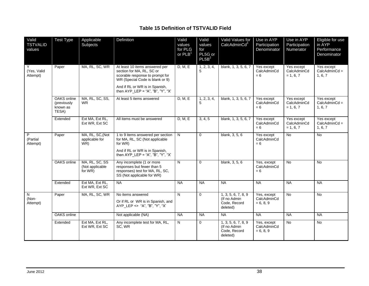## **Table 15 Definition of TSTVALID Field**

<span id="page-42-0"></span>

| Valid<br><b>TSTVALID</b><br>values  | <b>Test Type</b>                                | Applicable<br>Subjects                                | Definition                                                                                                                                                                                                 | Valid<br>values<br>for PLG<br>or $PLB1$ | Valid<br>values<br>for<br>PL5G or<br>PL5B <sup>2</sup> | Valid Values for<br>CalcAdminCd <sup>3</sup>                     | Use in AYP<br>Participation<br>Denominator | Use in AYP<br>Participation<br>Numerator | Eligible for use<br>in AYP<br>Performance<br>Denominator |
|-------------------------------------|-------------------------------------------------|-------------------------------------------------------|------------------------------------------------------------------------------------------------------------------------------------------------------------------------------------------------------------|-----------------------------------------|--------------------------------------------------------|------------------------------------------------------------------|--------------------------------------------|------------------------------------------|----------------------------------------------------------|
| Y<br>(Yes. Valid<br>Attempt)        | Paper                                           | MA, RL, SC, WR                                        | At least 10 items answered per<br>section for MA, RL, SC or<br>scorable response to prompt for<br>WR (Special Code is blank or 9)<br>And if RL or WR is in Spanish,<br>then $AYP$ LEP = "A", "B", "Y", "X" | D, M, E                                 | 1, 2, 3, 4,<br>5                                       | blank, 1, 3, 5, 6, 7                                             | Yes except<br>CalcAdminCd<br>$= 6$         | Yes except<br>CalcAdminCd<br>$= 1, 6, 7$ | Yes except<br>$CalcAdminCd =$<br>1, 6, 7                 |
|                                     | OAKS online<br>(previously<br>known as<br>TESA) | MA, RL, SC, SS,<br><b>WR</b>                          | At least 5 items answered                                                                                                                                                                                  | D, M, E                                 | 1, 2, 3, 4,<br>5                                       | blank, 1, 3, 5, 6, 7                                             | Yes except<br>CalcAdminCd<br>$= 6$         | Yes except<br>CalcAdminCd<br>$= 1, 6, 7$ | Yes except<br>$CalcAdminCd =$<br>1, 6, 7                 |
|                                     | Extended                                        | Ext MA, Ext RL,<br>Ext WR, Ext SC                     | All items must be answered                                                                                                                                                                                 | D, M, E                                 | 3, 4, 5                                                | blank, 1, 3, 5, 6, 7                                             | Yes except<br>CalcAdminCd<br>$= 6$         | Yes except<br>CalcAdminCd<br>$= 1, 6, 7$ | Yes except<br>$CalcAdminCd =$<br>1, 6, 7                 |
| P<br>(Partial<br>Attempt)           | Paper                                           | MA, RL, SC, (Not<br>applicable for<br>$\overline{WR}$ | 1 to 9 items answered per section<br>for MA, RL, SC (Not applicable<br>for WR)<br>And if RL or WR is in Spanish,<br>then AYP_LEP = "A", "B", "Y", "X"                                                      | N                                       | $\mathbf 0$                                            | blank, 3, 5, 6                                                   | Yes except<br>CalcAdminCd<br>$= 6$         | $\overline{N}$                           | No                                                       |
|                                     | OAKS online                                     | MA, RL, SC, SS<br>(Not applicable<br>for WR)          | Any incomplete (1 or more<br>responses but fewer than 5<br>responses) test for MA, RL, SC,<br>SS (Not applicable for WR)                                                                                   | N                                       | $\mathbf 0$                                            | blank, 3, 5, 6                                                   | Yes, except<br>CalcAdminCd<br>$= 6$        | <b>No</b>                                | <b>No</b>                                                |
|                                     | Extended                                        | Ext MA, Ext RL,<br>Ext WR, Ext SC                     | NA                                                                                                                                                                                                         | $N_A$                                   | <b>NA</b>                                              | <b>NA</b>                                                        | <b>NA</b>                                  | <b>NA</b>                                | <b>NA</b>                                                |
| $\overline{N}$<br>(Non-<br>Attempt) | Paper                                           | MA, RL, SC, WR                                        | No items answered<br>Or if RL or WR is in Spanish, and<br>AYP LEP <> "A", "B", "Y", "X"                                                                                                                    | $\overline{N}$                          | $\pmb{0}$                                              | 1, 3, 5, 6, 7, 8, 9<br>(If no Admin)<br>Code, Record<br>deleted) | Yes, except<br>CalcAdminCd<br>$= 6, 8, 9$  | <b>No</b>                                | <b>No</b>                                                |
|                                     | OAKS online                                     |                                                       | Not applicable (NA)                                                                                                                                                                                        | <b>NA</b>                               | <b>NA</b>                                              | NA                                                               | NA                                         | <b>NA</b>                                | <b>NA</b>                                                |
|                                     | Extended                                        | Ext MA, Ext RL,<br>Ext WR, Ext SC                     | Any incomplete test for MA, RL,<br>SC, WR                                                                                                                                                                  | N                                       | 0                                                      | 1, 3, 5, 6, 7, 8, 9<br>(If no Admin<br>Code, Record<br>deleted)  | Yes, except<br>CalcAdminCd<br>$= 6, 8, 9$  | <b>No</b>                                | <b>No</b>                                                |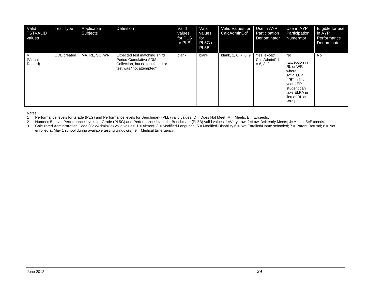| Valid<br><b>TSTVALID</b><br>values | <b>Test Type</b> | Applicable<br>Subjects | Definition                                                                                                                   | Valid<br>values<br>for PLG<br>or $PLB1$ | Valid<br>values<br>for<br>PL5G or<br>PL5B <sup>2</sup> | Valid Values for<br>CalcAdminCd <sup>3</sup> | Use in AYP<br>Participation<br>Denominator | Use in AYP<br>Participation<br>Numerator                                                                                                   | Eligible for use<br>in AYP<br>Performance<br>Denominator |
|------------------------------------|------------------|------------------------|------------------------------------------------------------------------------------------------------------------------------|-----------------------------------------|--------------------------------------------------------|----------------------------------------------|--------------------------------------------|--------------------------------------------------------------------------------------------------------------------------------------------|----------------------------------------------------------|
| V<br>(Virtual<br>Record)           | ODE created      | MA, RL, SC, WR         | Expected test matching Third<br><b>Period Cumulative ADM</b><br>Collection, but no test found or<br>test was "not attempted" | blank                                   | blank                                                  | blank, 1, 6, 7, 8, 9                         | Yes, except<br>CalcAdminCd<br>$= 6, 8, 9$  | No<br>[Exception in<br>RL or WR<br>where<br>AYP LEP<br>$=$ "B", a first<br>year LEP<br>student can<br>take ELPA in<br>lieu of RL or<br>WR. | No                                                       |

Notes:

1 Performance levels for Grade (PLG) and Performance levels for Benchmark (PLB) valid values: D = Does Not Meet; M = Meets; E = Exceeds.<br>2 Numeric 5-Level Performance levels for Grade (PL5G) and Performance levels for Benc

2 Numeric 5-Level Performance levels for Grade (PL5G) and Performance levels for Benchmark (PL5B) valid values: 1=Very Low; 2=Low; 3=Nearly Meets; 4=Meets; 5=Exceeds.<br>2 Calculated Administration Code (CalcAdminCd) valid va

Calculated Administration Code (CalcAdminCd) valid values: 1 = Absent; 3 = Modified-Language; 5 = Modified-Disability 6 = Not Enrolled/Home schooled; 7 = Parent Refusal; 8 = Not enrolled at May 1 school during available testing window(s); 9 = Medical Emergency.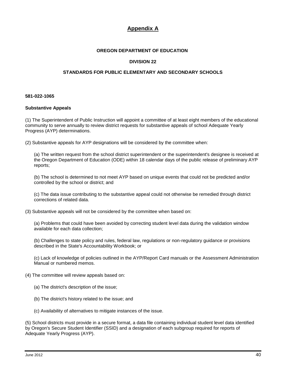## **Appendix A**

#### **OREGON DEPARTMENT OF EDUCATION**

#### **DIVISION 22**

#### **STANDARDS FOR PUBLIC ELEMENTARY AND SECONDARY SCHOOLS**

#### **581-022-1065**

#### **Substantive Appeals**

(1) The Superintendent of Public Instruction will appoint a committee of at least eight members of the educational community to serve annually to review district requests for substantive appeals of school Adequate Yearly Progress (AYP) determinations.

(2) Substantive appeals for AYP designations will be considered by the committee when:

(a) The written request from the school district superintendent or the superintendent's designee is received at the Oregon Department of Education (ODE) within 18 calendar days of the public release of preliminary AYP reports;

(b) The school is determined to not meet AYP based on unique events that could not be predicted and/or controlled by the school or district; and

(c) The data issue contributing to the substantive appeal could not otherwise be remedied through district corrections of related data.

(3) Substantive appeals will not be considered by the committee when based on:

(a) Problems that could have been avoided by correcting student level data during the validation window available for each data collection;

(b) Challenges to state policy and rules, federal law, regulations or non-regulatory guidance or provisions described in the State's Accountability Workbook; or

(c) Lack of knowledge of policies outlined in the AYP/Report Card manuals or the Assessment Administration Manual or numbered memos.

- (4) The committee will review appeals based on:
	- (a) The district's description of the issue;
	- (b) The district's history related to the issue; and
	- (c) Availability of alternatives to mitigate instances of the issue.

(5) School districts must provide in a secure format, a data file containing individual student level data identified by Oregon's Secure Student Identifier (SSID) and a designation of each subgroup required for reports of Adequate Yearly Progress (AYP).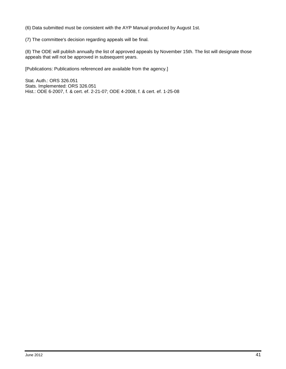(6) Data submitted must be consistent with the AYP Manual produced by August 1st.

(7) The committee's decision regarding appeals will be final.

(8) The ODE will publish annually the list of approved appeals by November 15th. The list will designate those appeals that will not be approved in subsequent years.

[Publications: Publications referenced are available from the agency.]

Stat. Auth.: ORS 326.051 Stats. Implemented: ORS 326.051 Hist.: ODE 6-2007, f. & cert. ef. 2-21-07; ODE 4-2008, f. & cert. ef. 1-25-08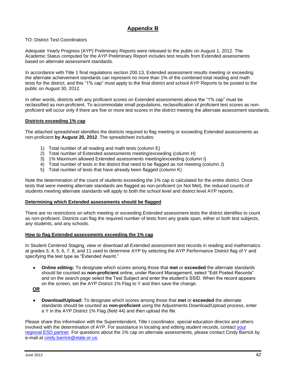## **Appendix B**

#### TO: District Test Coordinators

Adequate Yearly Progress (AYP) Preliminary Reports were released to the public on August 1, 2012. The Academic Status computed for the AYP Preliminary Report includes test results from Extended assessments based on alternate assessment standards.

In accordance with Title 1 final regulations section 200.13, Extended assessment results meeting or exceeding the alternate achievement standards can represent no more than 1% of the combined total reading and math tests for the district, and this "1% cap" must apply to the final district and school AYP Reports to be posted to the public on August 30, 2012.

In other words, districts with any proficient scores on Extended assessments above the "1% cap" must be reclassified as non-proficient. To accommodate small populations, reclassification of proficient test scores as nonproficient will occur only if there are five or more test scores in the district meeting the alternate assessment standards.

#### **Districts exceeding 1% cap**

The attached spreadsheet identifies the districts required to flag meeting or exceeding Extended assessments as non-proficient **by August 20, 2012**. The spreadsheet includes:

- 1) Total number of all reading and math tests (column E)
- 2) Total number of Extended assessments meeting/exceeding (column H)
- 3) 1% Maximum allowed Extended assessments meeting/exceeding (column I)
- 4) Total number of tests in the district that need to be flagged as not meeting (column J)
- 5) Total number of tests that have already been flagged (column K)

Note the determination of the count of students exceeding the 1% cap is calculated for the entire district. Once tests that were meeting alternate standards are flagged as non-proficient (or Not Met), the reduced counts of students meeting alternate standards will apply to both the school level and district level AYP reports.

#### **Determining which Extended assessments should be flagged**

There are no restrictions on which meeting or exceeding Extended assessment tests the district identifies to count as non-proficient. Districts can flag the required number of tests from any grade span, either or both test subjects, any students, and any schools.

#### **How to flag Extended assessments exceeding the 1% cap**

In Student Centered Staging, view or download all Extended assessment test records in reading and mathematics at grades 3, 4, 5, 6, 7, 8, and 11 used to determine AYP by selecting the AYP Performance District flag of Y and specifying the test type as "Extended Assmt."

**Online editing:** To designate which scores among those that **met** or **exceeded** the alternate standards  $\bullet$ should be counted as **non-proficient** online, under Record Management, select "Edit Posted Records" and on the search page select the Test Subject and enter the student's SSID. When the record appears on the screen, set the AYP District 1% Flag to Y and then save the change.

**OR**

**Download/Upload:** To designate which scores among those that **met** or **exceeded** the alternate standards should be counted as **non-proficient** using the Adjustments Download/Upload process, enter a Y in the AYP District 1% Flag (field 44) and then upload the file.

Please share this information with the Superintendent, Title I coordinator, special education director and others involved with the determination of AYP. For assistance in locating and editing student records, contact [your](http://www.ode.state.or.us/wma/teachlearn/testing/oaks/esdpartners1112.pdf)  [regional ESD partner.](http://www.ode.state.or.us/wma/teachlearn/testing/oaks/esdpartners1112.pdf) For questions about the 1% cap on alternate assessments, please contact Cindy Barrick by e-mail at [cindy.barrick@state.or.us.](mailto:cindy.barrick@state.or.us)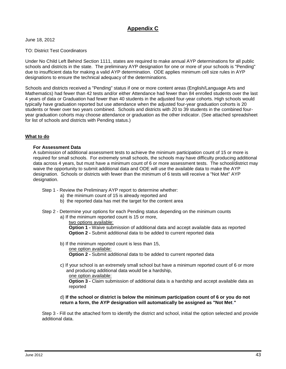## **Appendix C**

June 18, 2012

#### TO: District Test Coordinators

Under No Child Left Behind Section 1111, states are required to make annual AYP determinations for all public schools and districts in the state. The preliminary AYP designation for one or more of your schools is "Pending" due to insufficient data for making a valid AYP determination. ODE applies minimum cell size rules in AYP designations to ensure the technical adequacy of the determinations.

Schools and districts received a "Pending" status if one or more content areas (English/Language Arts and Mathematics) had fewer than 42 tests and/or either Attendance had fewer than 84 enrolled students over the last 4 years of data or Graduation had fewer than 40 students in the adjusted four-year cohorts. High schools would typically have graduation reported but use attendance when the adjusted four-year graduation cohorts is 20 students or fewer over two years combined. Schools and districts with 20 to 39 students in the combined fouryear graduation cohorts may choose attendance or graduation as the other indicator. (See attached spreadsheet for list of schools and districts with Pending status.)

#### **What to do**

#### **For Assessment Data**

A submission of additional assessment tests to achieve the minimum participation count of 15 or more is required for small schools. For extremely small schools, the schools may have difficulty producing additional data across 4 years, but must have a minimum count of 6 or more assessment tests. The school/district may waive the opportunity to submit additional data and ODE will use the available data to make the AYP designation. Schools or districts with fewer than the minimum of 6 tests will receive a "Not Met" AYP designation.

- Step 1 Review the Preliminary AYP report to determine whether:
	- a) the minimum count of 15 is already reported and
	- b) the reported data has met the target for the content area
- Step 2 Determine your options for each Pending status depending on the minimum counts
	- a) If the minimum reported count is 15 or more,

#### two options available:

**Option 1 -** Waive submission of additional data and accept available data as reported **Option 2 -** Submit additional data to be added to current reported data

- b) If the minimum reported count is less than 15, one option available: **Option 2 -** Submit additional data to be added to current reported data
- c) If your school is an extremely small school but have a minimum reported count of 6 or more and producing additional data would be a hardship,

one option available:

**Option 3 -** Claim submission of additional data is a hardship and accept available data as reported

#### d) **If the school or district is below the minimum participation count of 6 or you do not return a form, the AYP designation will automatically be assigned as "Not Met**.**"**

Step 3 - Fill out the attached form to identify the district and school, initial the option selected and provide additional data.